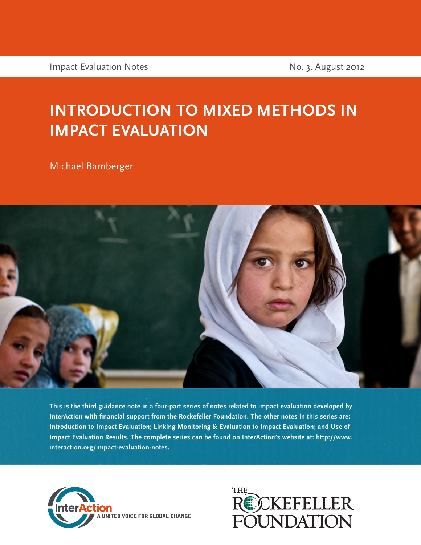Impact Evaluation Notes No. 3. August 2012

## **INTRODUCTION TO MIXED METHODS IN IMPACT EVALUATION**

Michael Bamberger



**This is the third guidance note in a four-part series of notes related to impact evaluation developed by InterAction with financial support from the Rockefeller Foundation. The other notes in this series are: Introduction to Impact Evaluation; Linking Monitoring & Evaluation to Impact Evaluation; and Use of Impact Evaluation Results. The complete series can be found on InterAction's website at: [http://www.](http://www.interaction.org/impact-evaluation-notes) [interaction.org/impact-evaluation-notes](http://www.interaction.org/impact-evaluation-notes).**



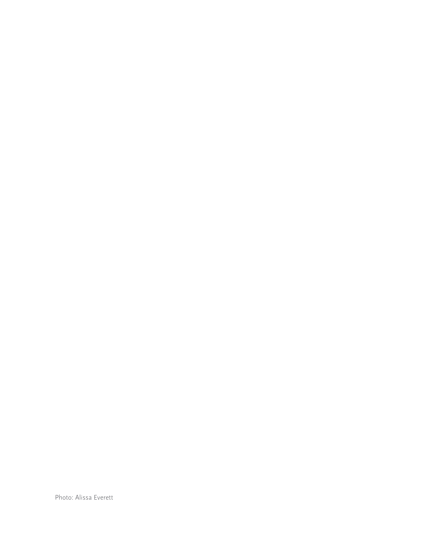Photo: Alissa Everett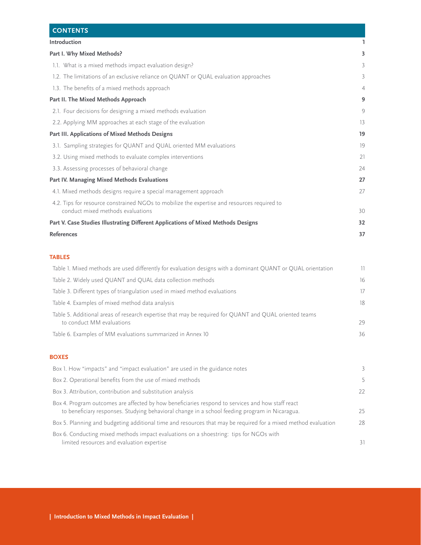| <b>CONTENTS</b>                                                                                                                  |                |
|----------------------------------------------------------------------------------------------------------------------------------|----------------|
| Introduction                                                                                                                     |                |
| Part I. Why Mixed Methods?                                                                                                       | 3              |
| 1.1. What is a mixed methods impact evaluation design?                                                                           | 3              |
| 1.2. The limitations of an exclusive reliance on QUANT or QUAL evaluation approaches                                             | 3              |
| 1.3. The benefits of a mixed methods approach                                                                                    | $\overline{4}$ |
| Part II. The Mixed Methods Approach                                                                                              | 9              |
| 2.1. Four decisions for designing a mixed methods evaluation                                                                     | 9              |
| 2.2. Applying MM approaches at each stage of the evaluation                                                                      | 13             |
| Part III. Applications of Mixed Methods Designs                                                                                  | 19             |
| 3.1. Sampling strategies for QUANT and QUAL oriented MM evaluations                                                              | 19             |
| 3.2. Using mixed methods to evaluate complex interventions                                                                       | 21             |
| 3.3. Assessing processes of behavioral change                                                                                    | 24             |
| Part IV. Managing Mixed Methods Evaluations                                                                                      | 27             |
| 4.1. Mixed methods designs require a special management approach                                                                 | 27             |
| 4.2. Tips for resource constrained NGOs to mobilize the expertise and resources required to<br>conduct mixed methods evaluations | 30             |
| Part V. Case Studies Illustrating Different Applications of Mixed Methods Designs                                                | 32             |
| <b>References</b>                                                                                                                | 37             |

## **TABLES**

| Table 1. Mixed methods are used differently for evaluation designs with a dominant QUANT or QUAL orientation                        |    |
|-------------------------------------------------------------------------------------------------------------------------------------|----|
| Table 2. Widely used QUANT and QUAL data collection methods                                                                         | 16 |
| Table 3. Different types of triangulation used in mixed method evaluations                                                          | 17 |
| Table 4. Examples of mixed method data analysis                                                                                     | 18 |
| Table 5. Additional areas of research expertise that may be required for QUANT and QUAL oriented teams<br>to conduct MM evaluations | 29 |
| Table 6. Examples of MM evaluations summarized in Annex 10                                                                          | 36 |
|                                                                                                                                     |    |

#### **BOXES**

| Box 1. How "impacts" and "impact evaluation" are used in the guidance notes                                                                                                                         | 3           |
|-----------------------------------------------------------------------------------------------------------------------------------------------------------------------------------------------------|-------------|
| Box 2. Operational benefits from the use of mixed methods                                                                                                                                           | $5^{\circ}$ |
| Box 3. Attribution, contribution and substitution analysis                                                                                                                                          | 22          |
| Box 4. Program outcomes are affected by how beneficiaries respond to services and how staff react<br>to beneficiary responses. Studying behavioral change in a school feeding program in Nicaragua. | 25          |
| Box 5. Planning and budgeting additional time and resources that may be required for a mixed method evaluation                                                                                      | 28          |
| Box 6. Conducting mixed methods impact evaluations on a shoestring: tips for NGOs with<br>limited resources and evaluation expertise                                                                | 31          |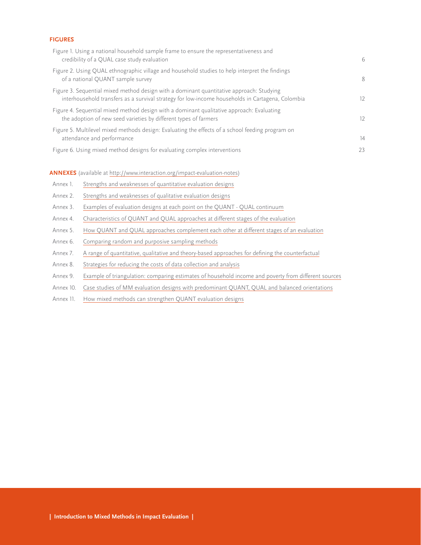#### **FIGURES**

| Figure 1. Using a national household sample frame to ensure the representativeness and<br>credibility of a QUAL case study evaluation                                                        | 6  |
|----------------------------------------------------------------------------------------------------------------------------------------------------------------------------------------------|----|
| Figure 2. Using QUAL ethnographic village and household studies to help interpret the findings<br>of a national QUANT sample survey                                                          | 8  |
| Figure 3. Sequential mixed method design with a dominant quantitative approach: Studying<br>interhousehold transfers as a survival strategy for low-income households in Cartagena, Colombia | 12 |
| Figure 4. Sequential mixed method design with a dominant qualitative approach: Evaluating<br>the adoption of new seed varieties by different types of farmers                                | 12 |
| Figure 5. Multilevel mixed methods design: Evaluating the effects of a school feeding program on<br>attendance and performance                                                               | 14 |
| Figure 6. Using mixed method designs for evaluating complex interventions                                                                                                                    | 23 |

**ANNEXES** (available at http://www.interaction.org/impact-evaluation-notes)

- Annex 1. [Strengths and weaknesses of quantitative evaluation designs](http://www.interaction.org/annex-1-strengths-and-weaknesses-quant-evaluation-approaches)
- Annex 2. [Strengths and weaknesses of qualitative evaluation designs](http://www.interaction.org/annex-2-strengths-and-weaknesses-qualitative-evaluation-designs)
- Annex 3. [Examples of evaluation designs at each point on the QUANT QUAL continuum](http://www.interaction.org/annex-3-examples-evaluation-designs-each-point-quant-qual-continuum)
- Annex 4. [Characteristics of QUANT and QUAL approaches at different stages of the evaluation](http://www.interaction.org/annex-4-characteristics-quant-and-qual-approaches-different-stages-evaluation)
- Annex 5. [How QUANT and QUAL approaches complement each other at different stages of an evaluation](http://www.interaction.org/annex-5-how-quant-and-qual-approaches-complement-each-other-different-stages-evaluation)
- Annex 6. [Comparing random and purposive sampling methods](http://www.interaction.org/annex-6-comparing-random-and-purposive-sampling-methods)
- Annex 7. [A range of quantitative, qualitative and theory-based approaches for defining the counterfactual](http://www.interaction.org/annex-7-typology-mixed-methods-data-analysis-techniques)
- Annex 8. [Strategies for reducing the costs of data collection and analysis](http://www.interaction.org/annex-8-range-quantitative-qualitative-and-theory-based-approaches-defining-counterfactual)
- Annex 9. [Example of triangulation: comparing estimates of household income and poverty from different sources](http://www.interaction.org/annex-9-example-triangulation-comparing-estimates-household-income-and-poverty-different-sources)
- Annex 10. [Case studies of MM evaluation designs with predominant QUANT, QUAL and balanced orientations](http://www.interaction.org/annex-10-case-studies-mm-evaluation-designs-predominant-quant-qual-and-balanced-orientations)
- Annex 11. [How mixed methods can strengthen QUANT evaluation designs](http://www.interaction.org/annex-11-how-mixed-methods-can-strengthen-quant-evaluation-designs)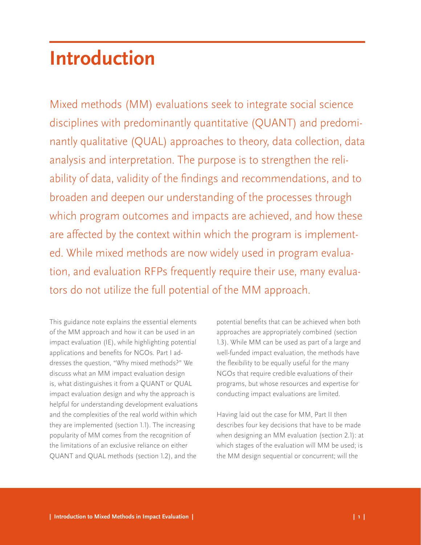## <span id="page-4-0"></span>**Introduction**

Mixed methods (MM) evaluations seek to integrate social science disciplines with predominantly quantitative (QUANT) and predominantly qualitative (QUAL) approaches to theory, data collection, data analysis and interpretation. The purpose is to strengthen the reliability of data, validity of the findings and recommendations, and to broaden and deepen our understanding of the processes through which program outcomes and impacts are achieved, and how these are affected by the context within which the program is implemented. While mixed methods are now widely used in program evaluation, and evaluation RFPs frequently require their use, many evaluators do not utilize the full potential of the MM approach.

This guidance note explains the essential elements of the MM approach and how it can be used in an impact evaluation (IE), while highlighting potential applications and benefits for NGOs. Part I addresses the question, "Why mixed methods?" We discuss what an MM impact evaluation design is, what distinguishes it from a QUANT or QUAL impact evaluation design and why the approach is helpful for understanding development evaluations and the complexities of the real world within which they are implemented (section 1.1). The increasing popularity of MM comes from the recognition of the limitations of an exclusive reliance on either QUANT and QUAL methods (section 1.2), and the

potential benefits that can be achieved when both approaches are appropriately combined (section 1.3). While MM can be used as part of a large and well-funded impact evaluation, the methods have the flexibility to be equally useful for the many NGOs that require credible evaluations of their programs, but whose resources and expertise for conducting impact evaluations are limited.

Having laid out the case for MM, Part II then describes four key decisions that have to be made when designing an MM evaluation (section 2.1): at which stages of the evaluation will MM be used; is the MM design sequential or concurrent; will the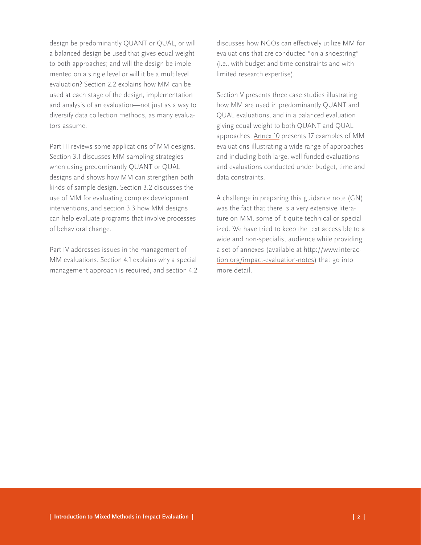design be predominantly QUANT or QUAL, or will a balanced design be used that gives equal weight to both approaches; and will the design be implemented on a single level or will it be a multilevel evaluation? Section 2.2 explains how MM can be used at each stage of the design, implementation and analysis of an evaluation—not just as a way to diversify data collection methods, as many evaluators assume.

Part III reviews some applications of MM designs. Section 3.1 discusses MM sampling strategies when using predominantly QUANT or QUAL designs and shows how MM can strengthen both kinds of sample design. Section 3.2 discusses the use of MM for evaluating complex development interventions, and section 3.3 how MM designs can help evaluate programs that involve processes of behavioral change.

Part IV addresses issues in the management of MM evaluations. Section 4.1 explains why a special management approach is required, and section 4.2 discusses how NGOs can effectively utilize MM for evaluations that are conducted "on a shoestring" (i.e., with budget and time constraints and with limited research expertise).

Section V presents three case studies illustrating how MM are used in predominantly QUANT and QUAL evaluations, and in a balanced evaluation giving equal weight to both QUANT and QUAL approaches. [Annex 10](http://www.interaction.org/annex-10-case-studies-mm-evaluation-designs-predominant-quant-qual-and-balanced-orientations) presents 17 examples of MM evaluations illustrating a wide range of approaches and including both large, well-funded evaluations and evaluations conducted under budget, time and data constraints.

A challenge in preparing this guidance note (GN) was the fact that there is a very extensive literature on MM, some of it quite technical or specialized. We have tried to keep the text accessible to a wide and non-specialist audience while providing a set of annexes (available at [http://www.interac](http://www.interaction.org/impact-evaluation-notes)[tion.org/impact-evaluation-notes](http://www.interaction.org/impact-evaluation-notes)) that go into more detail.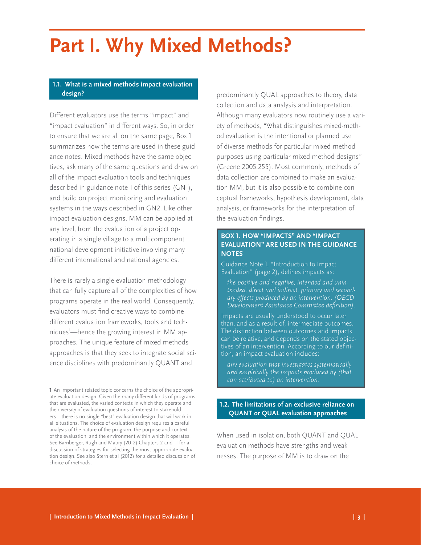## <span id="page-6-0"></span>**Part I. Why Mixed Methods?**

## **1.1. What is a mixed methods impact evaluation design?**

Different evaluators use the terms "impact" and "impact evaluation" in different ways. So, in order to ensure that we are all on the same page, Box 1 summarizes how the terms are used in these guidance notes. Mixed methods have the same objectives, ask many of the same questions and draw on all of the impact evaluation tools and techniques described in guidance note 1 of this series (GN1), and build on project monitoring and evaluation systems in the ways described in GN2. Like other impact evaluation designs, MM can be applied at any level, from the evaluation of a project operating in a single village to a multicomponent national development initiative involving many different international and national agencies.

There is rarely a single evaluation methodology that can fully capture all of the complexities of how programs operate in the real world. Consequently, evaluators must find creative ways to combine different evaluation frameworks, tools and techniques —hence the growing interest in MM approaches. The unique feature of mixed methods approaches is that they seek to integrate social science disciplines with predominantly QUANT and

predominantly QUAL approaches to theory, data collection and data analysis and interpretation. Although many evaluators now routinely use a variety of methods, "What distinguishes mixed-method evaluation is the intentional or planned use of diverse methods for particular mixed-method purposes using particular mixed-method designs" (Greene 2005:255). Most commonly, methods of data collection are combined to make an evaluation MM, but it is also possible to combine conceptual frameworks, hypothesis development, data analysis, or frameworks for the interpretation of the evaluation findings.

## **BOX 1. HOW "IMPACTS" AND "IMPACT EVALUATION" ARE USED IN THE GUIDANCE NOTES**

Guidance Note 1, "Introduction to Impact Evaluation" (page 2), defines impacts as:

*the positive and negative, intended and unintended, direct and indirect, primary and secondary effects produced by an intervention. (OECD Development Assistance Committee definition).*

Impacts are usually understood to occur later than, and as a result of, intermediate outcomes. The distinction between outcomes and impacts can be relative, and depends on the stated objectives of an intervention. According to our definition, an impact evaluation includes:

*any evaluation that investigates systematically and empirically the impacts produced by (that can attributed to) an intervention.*

## **1.2. The limitations of an exclusive reliance on QUANT or QUAL evaluation approaches**

When used in isolation, both QUANT and QUAL evaluation methods have strengths and weaknesses. The purpose of MM is to draw on the

**<sup>1</sup>** An important related topic concerns the choice of the appropriate evaluation design. Given the many different kinds of programs that are evaluated, the varied contexts in which they operate and the diversity of evaluation questions of interest to stakeholders—there is no single "best" evaluation design that will work in all situations. The choice of evaluation design requires a careful analysis of the nature of the program, the purpose and context of the evaluation, and the environment within which it operates. See Bamberger, Rugh and Mabry (2012) Chapters 2 and 11 for a discussion of strategies for selecting the most appropriate evaluation design. See also Stern et al (2012) for a detailed discussion of choice of methods.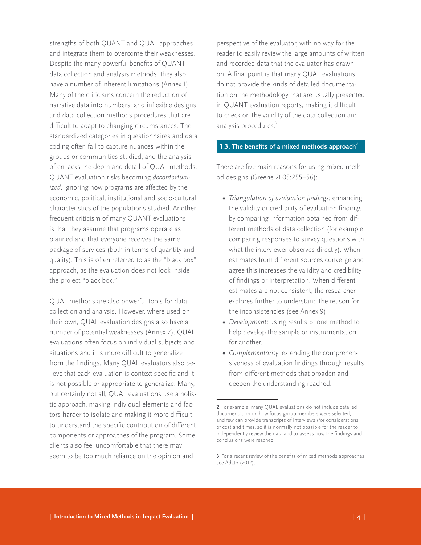<span id="page-7-0"></span>strengths of both QUANT and QUAL approaches and integrate them to overcome their weaknesses. Despite the many powerful benefits of QUANT data collection and analysis methods, they also have a number of inherent limitations ([Annex 1](http://www.interaction.org/annex-1-strengths-and-weaknesses-quant-evaluation-approaches)). Many of the criticisms concern the reduction of narrative data into numbers, and inflexible designs and data collection methods procedures that are difficult to adapt to changing circumstances. The standardized categories in questionnaires and data coding often fail to capture nuances within the groups or communities studied, and the analysis often lacks the depth and detail of QUAL methods. QUANT evaluation risks becoming *decontextualized,* ignoring how programs are affected by the economic, political, institutional and socio-cultural characteristics of the populations studied. Another frequent criticism of many QUANT evaluations is that they assume that programs operate as planned and that everyone receives the same package of services (both in terms of quantity and quality). This is often referred to as the "black box" approach, as the evaluation does not look inside the project "black box."

QUAL methods are also powerful tools for data collection and analysis. However, where used on their own, QUAL evaluation designs also have a number of potential weaknesses ([Annex 2\)](http://www.interaction.org/annex-2-strengths-and-weaknesses-qualitative-evaluation-designs). QUAL evaluations often focus on individual subjects and situations and it is more difficult to generalize from the findings. Many QUAL evaluators also believe that each evaluation is context-specific and it is not possible or appropriate to generalize. Many, but certainly not all, QUAL evaluations use a holistic approach, making individual elements and factors harder to isolate and making it more difficult to understand the specific contribution of different components or approaches of the program. Some clients also feel uncomfortable that there may seem to be too much reliance on the opinion and

perspective of the evaluator, with no way for the reader to easily review the large amounts of written and recorded data that the evaluator has drawn on. A final point is that many QUAL evaluations do not provide the kinds of detailed documentation on the methodology that are usually presented in QUANT evaluation reports, making it difficult to check on the validity of the data collection and analysis procedures.<sup>2</sup>

#### **1.3. The benefits of a mixed methods approach<sup>3</sup>**

There are five main reasons for using mixed-method designs (Greene 2005:255–56):

- **•**  *Triangulation of evaluation findings:* enhancing the validity or credibility of evaluation findings by comparing information obtained from different methods of data collection (for example comparing responses to survey questions with what the interviewer observes directly). When estimates from different sources converge and agree this increases the validity and credibility of findings or interpretation. When different estimates are not consistent, the researcher explores further to understand the reason for the inconsistencies (see [Annex 9](http://www.interaction.org/annex-9-example-triangulation-comparing-estimates-household-income-and-poverty-different-sources)).
- **•**  *Development*: using results of one method to help develop the sample or instrumentation for another.
- **•**  *Complementarity*: extending the comprehensiveness of evaluation findings through results from different methods that broaden and deepen the understanding reached.

**<sup>2</sup>** For example, many QUAL evaluations do not include detailed documentation on how focus group members were selected, and few can provide transcripts of interviews (for considerations of cost and time), so it is normally not possible for the reader to independently review the data and to assess how the findings and conclusions were reached.

**<sup>3</sup>** For a recent review of the benefits of mixed methods approaches see Adato (2012).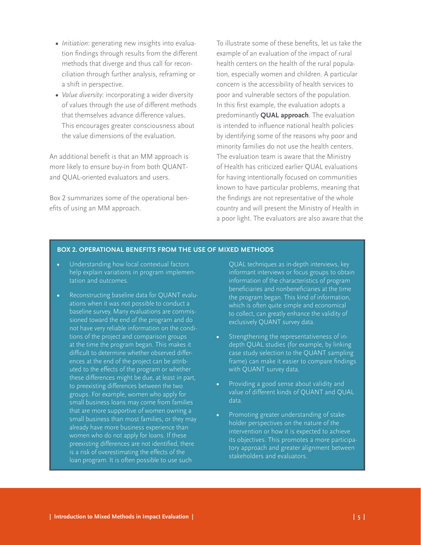- <span id="page-8-0"></span>**•**  *Initiation*: generating new insights into evaluation findings through results from the different methods that diverge and thus call for reconciliation through further analysis, reframing or a shift in perspective.
- **•**  *Value diversity*: incorporating a wider diversity of values through the use of different methods that themselves advance difference values. This encourages greater consciousness about the value dimensions of the evaluation.

An additional benefit is that an MM approach is more likely to ensure buy-in from both QUANTand QUAL-oriented evaluators and users.

Box 2 summarizes some of the operational benefits of using an MM approach.

To illustrate some of these benefits, let us take the example of an evaluation of the impact of rural health centers on the health of the rural population, especially women and children. A particular concern is the accessibility of health services to poor and vulnerable sectors of the population. In this first example, the evaluation adopts a predominantly **QUAL approach**. The evaluation is intended to influence national health policies by identifying some of the reasons why poor and minority families do not use the health centers. The evaluation team is aware that the Ministry of Health has criticized earlier QUAL evaluations for having intentionally focused on communities known to have particular problems, meaning that the findings are not representative of the whole country and will present the Ministry of Health in a poor light. The evaluators are also aware that the

### **BOX 2. OPERATIONAL BENEFITS FROM THE USE OF MIXED METHODS**

- **Understanding how local contextual factors** help explain variations in program implementation and outcomes.
- **•**  Reconstructing baseline data for QUANT evaluations when it was not possible to conduct a baseline survey. Many evaluations are commissioned toward the end of the program and do not have very reliable information on the conditions of the project and comparison groups at the time the program began. This makes it difficult to determine whether observed differences at the end of the project can be attributed to the effects of the program or whether these differences might be due, at least in part, to preexisting differences between the two groups. For example, women who apply for small business loans may come from families that are more supportive of women owning a small business than most families, or they may already have more business experience than women who do not apply for loans. If these preexisting differences are not identified, there is a risk of overestimating the effects of the loan program. It is often possible to use such

QUAL techniques as in-depth interviews, key informant interviews or focus groups to obtain information of the characteristics of program beneficiaries and nonbeneficiaries at the time the program began. This kind of information, which is often quite simple and economical to collect, can greatly enhance the validity of exclusively QUANT survey data.

- Strengthening the representativeness of indepth QUAL studies (for example, by linking case study selection to the QUANT sampling frame) can make it easier to compare findings with QUANT survey data.
- Providing a good sense about validity and value of different kinds of QUANT and QUAL data.
- Promoting greater understanding of stakeholder perspectives on the nature of the intervention or how it is expected to achieve its objectives. This promotes a more participatory approach and greater alignment between stakeholders and evaluators.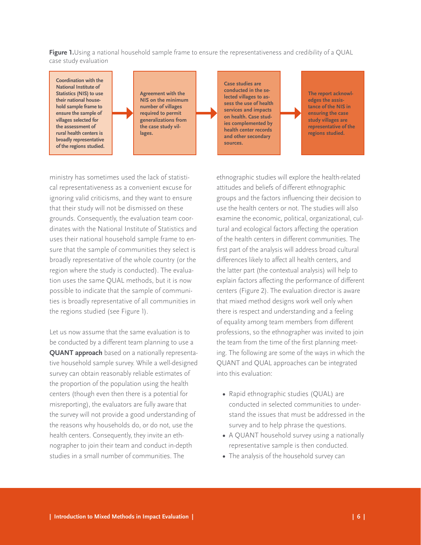<span id="page-9-0"></span>**Figure 1.**Using a national household sample frame to ensure the representativeness and credibility of a QUAL case study evaluation

**Coordination with the National Institute of Statistics (NIS) to use their national household sample frame to ensure the sample of villages selected for the assessment of rural health centers is broadly representative of the regions studied.**

**Agreement with the NIS on the minimum number of villages required to permit generalizations from the case study villages.** 

**Case studies are conducted in the selected villages to assess the use of health services and impacts on health. Case studies complemented by health center records and other secondary sources.**

**The report acknowledges the assistance of the NIS in ensuring the case study villages are representative of the regions studied.**

ministry has sometimes used the lack of statistical representativeness as a convenient excuse for ignoring valid criticisms, and they want to ensure that their study will not be dismissed on these grounds. Consequently, the evaluation team coordinates with the National Institute of Statistics and uses their national household sample frame to ensure that the sample of communities they select is broadly representative of the whole country (or the region where the study is conducted). The evaluation uses the same QUAL methods, but it is now possible to indicate that the sample of communities is broadly representative of all communities in the regions studied (see Figure 1).

Let us now assume that the same evaluation is to be conducted by a different team planning to use a **QUANT approach** based on a nationally representative household sample survey. While a well-designed survey can obtain reasonably reliable estimates of the proportion of the population using the health centers (though even then there is a potential for misreporting), the evaluators are fully aware that the survey will not provide a good understanding of the reasons why households do, or do not, use the health centers. Consequently, they invite an ethnographer to join their team and conduct in-depth studies in a small number of communities. The

ethnographic studies will explore the health-related attitudes and beliefs of different ethnographic groups and the factors influencing their decision to use the health centers or not. The studies will also examine the economic, political, organizational, cultural and ecological factors affecting the operation of the health centers in different communities. The first part of the analysis will address broad cultural differences likely to affect all health centers, and the latter part (the contextual analysis) will help to explain factors affecting the performance of different centers (Figure 2). The evaluation director is aware that mixed method designs work well only when there is respect and understanding and a feeling of equality among team members from different professions, so the ethnographer was invited to join the team from the time of the first planning meeting. The following are some of the ways in which the QUANT and QUAL approaches can be integrated into this evaluation:

- **•**  Rapid ethnographic studies (QUAL) are conducted in selected communities to understand the issues that must be addressed in the survey and to help phrase the questions.
- **•**  A QUANT household survey using a nationally representative sample is then conducted.
- The analysis of the household survey can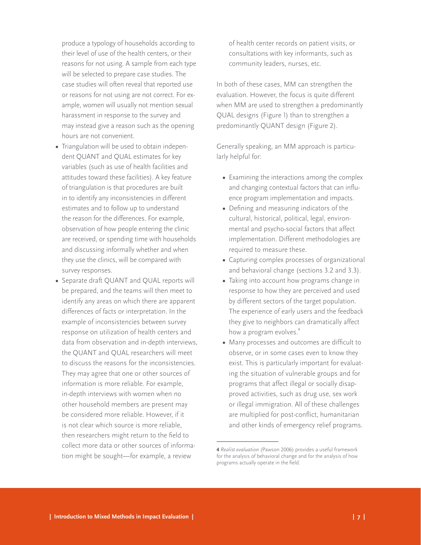produce a typology of households according to their level of use of the health centers, or their reasons for not using. A sample from each type will be selected to prepare case studies. The case studies will often reveal that reported use or reasons for not using are not correct. For example, women will usually not mention sexual harassment in response to the survey and may instead give a reason such as the opening hours are not convenient.

- Triangulation will be used to obtain independent QUANT and QUAL estimates for key variables (such as use of health facilities and attitudes toward these facilities). A key feature of triangulation is that procedures are built in to identify any inconsistencies in different estimates and to follow up to understand the reason for the differences. For example, observation of how people entering the clinic are received, or spending time with households and discussing informally whether and when they use the clinics, will be compared with survey responses.
- **•**  Separate draft QUANT and QUAL reports will be prepared, and the teams will then meet to identify any areas on which there are apparent differences of facts or interpretation. In the example of inconsistencies between survey response on utilization of health centers and data from observation and in-depth interviews, the QUANT and QUAL researchers will meet to discuss the reasons for the inconsistencies. They may agree that one or other sources of information is more reliable. For example, in-depth interviews with women when no other household members are present may be considered more reliable. However, if it is not clear which source is more reliable, then researchers might return to the field to collect more data or other sources of information might be sought—for example, a review

of health center records on patient visits, or consultations with key informants, such as community leaders, nurses, etc.

In both of these cases, MM can strengthen the evaluation. However, the focus is quite different when MM are used to strengthen a predominantly QUAL designs (Figure 1) than to strengthen a predominantly QUANT design (Figure 2).

Generally speaking, an MM approach is particularly helpful for:

- Examining the interactions among the complex and changing contextual factors that can influence program implementation and impacts.
- **•**  Defining and measuring indicators of the cultural, historical, political, legal, environmental and psycho-social factors that affect implementation. Different methodologies are required to measure these.
- **•**  Capturing complex processes of organizational and behavioral change (sections 3.2 and 3.3).
- Taking into account how programs change in response to how they are perceived and used by different sectors of the target population. The experience of early users and the feedback they give to neighbors can dramatically affect how a program evolves.<sup>4</sup>
- **•**  Many processes and outcomes are difficult to observe, or in some cases even to know they exist. This is particularly important for evaluating the situation of vulnerable groups and for programs that affect illegal or socially disapproved activities, such as drug use, sex work or illegal immigration. All of these challenges are multiplied for post-conflict, humanitarian and other kinds of emergency relief programs.

**<sup>4</sup>** *Realist evaluation* (Pawson 2006) provides a useful framework for the analysis of behavioral change and for the analysis of how programs actually operate in the field.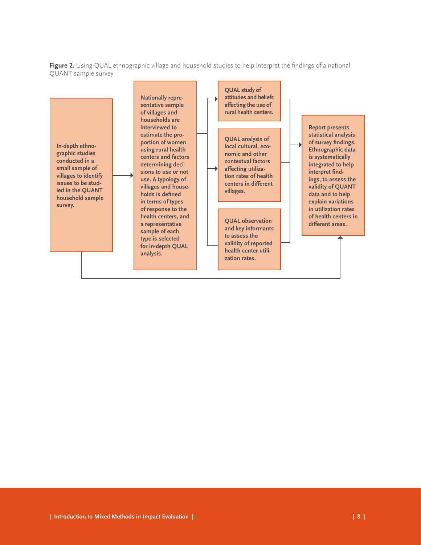<span id="page-11-0"></span>**Figure 2.** Using QUAL ethnographic village and household studies to help interpret the findings of a national QUANT sample survey

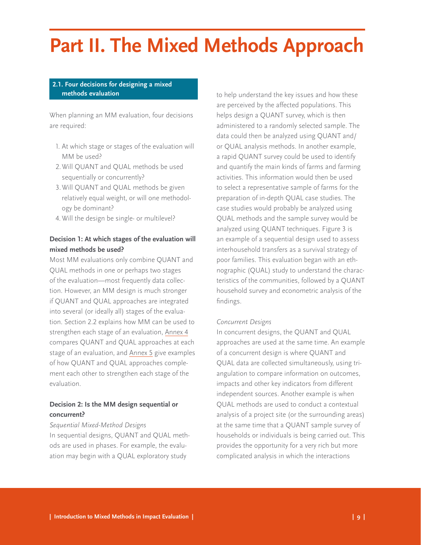# <span id="page-12-0"></span>**Part II. The Mixed Methods Approach**

## **2.1. Four decisions for designing a mixed methods evaluation**

When planning an MM evaluation, four decisions are required:

- 1. At which stage or stages of the evaluation will MM be used?
- 2.Will QUANT and QUAL methods be used sequentially or concurrently?
- 3.Will QUANT and QUAL methods be given relatively equal weight, or will one methodology be dominant?
- 4. Will the design be single- or multilevel?

## **Decision 1: At which stages of the evaluation will mixed methods be used?**

Most MM evaluations only combine QUANT and QUAL methods in one or perhaps two stages of the evaluation—most frequently data collection. However, an MM design is much stronger if QUANT and QUAL approaches are integrated into several (or ideally all) stages of the evaluation. Section 2.2 explains how MM can be used to strengthen each stage of an evaluation, [Annex 4](http://www.interaction.org/annex-4-characteristics-quant-and-qual-approaches-different-stages-evaluation) compares QUANT and QUAL approaches at each stage of an evaluation, and [Annex 5](http://www.interaction.org/annex-5-how-quant-and-qual-approaches-complement-each-other-different-stages-evaluation) give examples of how QUANT and QUAL approaches complement each other to strengthen each stage of the evaluation.

## **Decision 2: Is the MM design sequential or concurrent?**

### *Sequential Mixed-Method Designs*

In sequential designs, QUANT and QUAL methods are used in phases. For example, the evaluation may begin with a QUAL exploratory study

to help understand the key issues and how these are perceived by the affected populations. This helps design a QUANT survey, which is then administered to a randomly selected sample. The data could then be analyzed using QUANT and/ or QUAL analysis methods. In another example, a rapid QUANT survey could be used to identify and quantify the main kinds of farms and farming activities. This information would then be used to select a representative sample of farms for the preparation of in-depth QUAL case studies. The case studies would probably be analyzed using QUAL methods and the sample survey would be analyzed using QUANT techniques. Figure 3 is an example of a sequential design used to assess interhousehold transfers as a survival strategy of poor families. This evaluation began with an ethnographic (QUAL) study to understand the characteristics of the communities, followed by a QUANT household survey and econometric analysis of the findings.

## *Concurrent Designs*

In concurrent designs, the QUANT and QUAL approaches are used at the same time. An example of a concurrent design is where QUANT and QUAL data are collected simultaneously, using triangulation to compare information on outcomes, impacts and other key indicators from different independent sources. Another example is when QUAL methods are used to conduct a contextual analysis of a project site (or the surrounding areas) at the same time that a QUANT sample survey of households or individuals is being carried out. This provides the opportunity for a very rich but more complicated analysis in which the interactions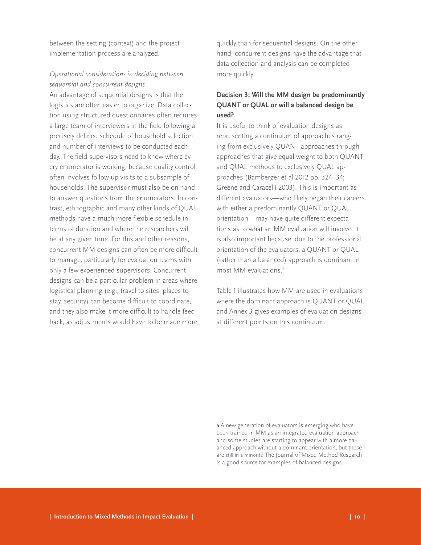between the setting (context) and the project implementation process are analyzed.

## *Operational considerations in deciding between sequential and concurrent designs*

An advantage of sequential designs is that the logistics are often easier to organize. Data collection using structured questionnaires often requires a large team of interviewers in the field following a precisely defined schedule of household selection and number of interviews to be conducted each day. The field supervisors need to know where every enumerator is working, because quality control often involves follow-up visits to a subsample of households. The supervisor must also be on hand to answer questions from the enumerators. In contrast, ethnographic and many other kinds of QUAL methods have a much more flexible schedule in terms of duration and where the researchers will be at any given time. For this and other reasons, concurrent MM designs can often be more difficult to manage, particularly for evaluation teams with only a few experienced supervisors. Concurrent designs can be a particular problem in areas where logistical planning (e.g., travel to sites, places to stay, security) can become difficult to coordinate, and they also make it more difficult to handle feedback, as adjustments would have to be made more

quickly than for sequential designs. On the other hand, concurrent designs have the advantage that data collection and analysis can be completed more quickly.

## **Decision 3: Will the MM design be predominantly QUANT or QUAL or will a balanced design be used?**

It is useful to think of evaluation designs as representing a continuum of approaches ranging from exclusively QUANT approaches through approaches that give equal weight to both QUANT and QUAL methods to exclusively QUAL approaches (Bamberger et al 2012 pp. 324–34; Greene and Caracelli 2003). This is important as different evaluators—who likely began their careers with either a predominantly QUANT or QUAL orientation—may have quite different expectations as to what an MM evaluation will involve. It is also important because, due to the professional orientation of the evaluators, a QUANT or QUAL (rather than a balanced) approach is dominant in most MM evaluations.<sup>5</sup>

Table 1 illustrates how MM are used in evaluations where the dominant approach is QUANT or QUAL and [Annex 3](http://www.interaction.org/annex-3-examples-evaluation-designs-each-point-quant-qual-continuum) gives examples of evaluation designs at different points on this continuum.

**<sup>5</sup>** A new generation of evaluators is emerging who have been trained in MM as an integrated evaluation approach and some studies are starting to appear with a more balanced approach without a dominant orientation, but these are still in a minority. The Journal of Mixed Method Research is a good source for examples of balanced designs.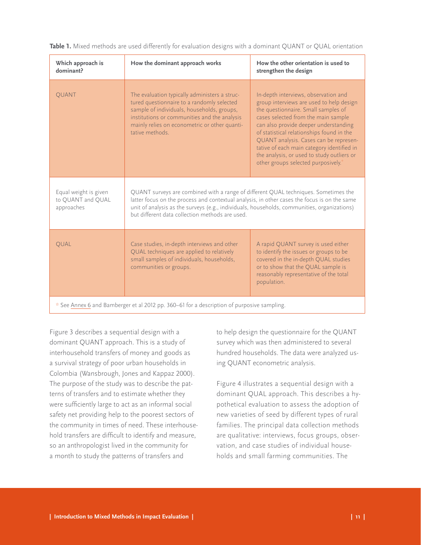| Which approach is<br>dominant?                                                             | How the dominant approach works                                                                                                                                                                                                                                                                                                       | How the other orientation is used to<br>strengthen the design                                                                                                                                                                                                                                                                                                                                                                                 |
|--------------------------------------------------------------------------------------------|---------------------------------------------------------------------------------------------------------------------------------------------------------------------------------------------------------------------------------------------------------------------------------------------------------------------------------------|-----------------------------------------------------------------------------------------------------------------------------------------------------------------------------------------------------------------------------------------------------------------------------------------------------------------------------------------------------------------------------------------------------------------------------------------------|
| QUANT                                                                                      | The evaluation typically administers a struc-<br>tured questionnaire to a randomly selected<br>sample of individuals, households, groups,<br>institutions or communities and the analysis<br>mainly relies on econometric or other quanti-<br>tative methods.                                                                         | In-depth interviews, observation and<br>group interviews are used to help design<br>the questionnaire. Small samples of<br>cases selected from the main sample<br>can also provide deeper understanding<br>of statistical relationships found in the<br>QUANT analysis. Cases can be represen-<br>tative of each main category identified in<br>the analysis, or used to study outliers or<br>other groups selected purposively. <sup>*</sup> |
| Equal weight is given<br>to QUANT and QUAL<br>approaches                                   | QUANT surveys are combined with a range of different QUAL techniques. Sometimes the<br>latter focus on the process and contextual analysis, in other cases the focus is on the same<br>unit of analysis as the surveys (e.g., individuals, households, communities, organizations)<br>but different data collection methods are used. |                                                                                                                                                                                                                                                                                                                                                                                                                                               |
| QUAL                                                                                       | Case studies, in-depth interviews and other<br>QUAL techniques are applied to relatively<br>small samples of individuals, households,<br>communities or groups.                                                                                                                                                                       | A rapid QUANT survey is used either<br>to identify the issues or groups to be<br>covered in the in-depth QUAL studies<br>or to show that the QUAL sample is<br>reasonably representative of the total<br>population.                                                                                                                                                                                                                          |
| * See Annex 6 and Bamberger et al 2012 pp. 360-61 for a description of purposive sampling. |                                                                                                                                                                                                                                                                                                                                       |                                                                                                                                                                                                                                                                                                                                                                                                                                               |

<span id="page-14-0"></span>**Table 1.** Mixed methods are used differently for evaluation designs with a dominant QUANT or QUAL orientation

Figure 3 describes a sequential design with a dominant QUANT approach. This is a study of interhousehold transfers of money and goods as a survival strategy of poor urban households in Colombia (Wansbrough, Jones and Kappaz 2000). The purpose of the study was to describe the patterns of transfers and to estimate whether they were sufficiently large to act as an informal social safety net providing help to the poorest sectors of the community in times of need. These interhousehold transfers are difficult to identify and measure, so an anthropologist lived in the community for a month to study the patterns of transfers and

to help design the questionnaire for the QUANT survey which was then administered to several hundred households. The data were analyzed using QUANT econometric analysis.

Figure 4 illustrates a sequential design with a dominant QUAL approach. This describes a hypothetical evaluation to assess the adoption of new varieties of seed by different types of rural families. The principal data collection methods are qualitative: interviews, focus groups, observation, and case studies of individual households and small farming communities. The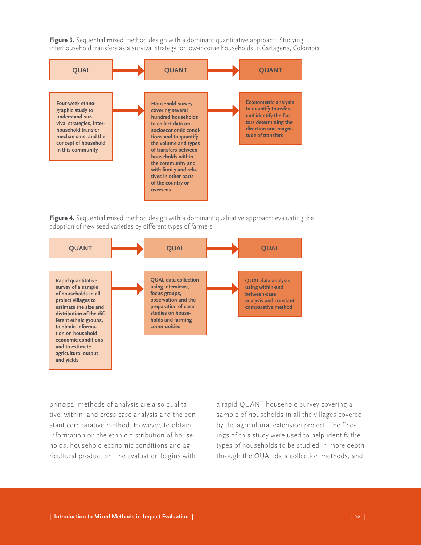<span id="page-15-0"></span>**Figure 3.** Sequential mixed method design with a dominant quantitative approach: Studying interhousehold transfers as a survival strategy for low-income households in Cartagena, Colombia



**Figure 4.** Sequential mixed method design with a dominant qualitative approach: evaluating the adoption of new seed varieties by different types of farmers



principal methods of analysis are also qualitative: within- and cross-case analysis and the constant comparative method. However, to obtain information on the ethnic distribution of households, household economic conditions and agricultural production, the evaluation begins with

a rapid QUANT household survey covering a sample of households in all the villages covered by the agricultural extension project. The findings of this study were used to help identify the types of households to be studied in more depth through the QUAL data collection methods, and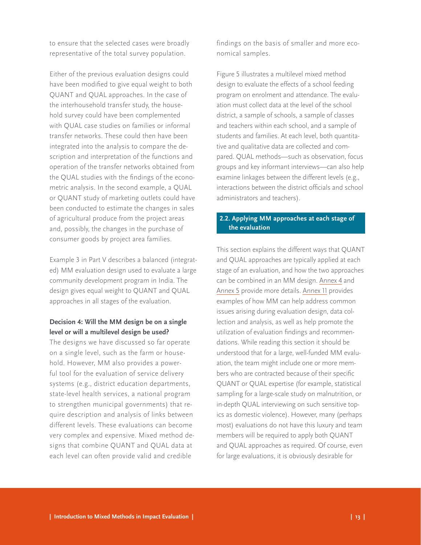<span id="page-16-0"></span>to ensure that the selected cases were broadly representative of the total survey population.

Either of the previous evaluation designs could have been modified to give equal weight to both QUANT and QUAL approaches. In the case of the interhousehold transfer study, the household survey could have been complemented with QUAL case studies on families or informal transfer networks. These could then have been integrated into the analysis to compare the description and interpretation of the functions and operation of the transfer networks obtained from the QUAL studies with the findings of the econometric analysis. In the second example, a QUAL or QUANT study of marketing outlets could have been conducted to estimate the changes in sales of agricultural produce from the project areas and, possibly, the changes in the purchase of consumer goods by project area families.

Example 3 in Part V describes a balanced (integrated) MM evaluation design used to evaluate a large community development program in India. The design gives equal weight to QUANT and QUAL approaches in all stages of the evaluation.

## **Decision 4: Will the MM design be on a single level or will a multilevel design be used?**

The designs we have discussed so far operate on a single level, such as the farm or household. However, MM also provides a powerful tool for the evaluation of service delivery systems (e.g., district education departments, state-level health services, a national program to strengthen municipal governments) that require description and analysis of links between different levels. These evaluations can become very complex and expensive. Mixed method designs that combine QUANT and QUAL data at each level can often provide valid and credible

findings on the basis of smaller and more economical samples.

Figure 5 illustrates a multilevel mixed method design to evaluate the effects of a school feeding program on enrolment and attendance. The evaluation must collect data at the level of the school district, a sample of schools, a sample of classes and teachers within each school, and a sample of students and families. At each level, both quantitative and qualitative data are collected and compared. QUAL methods—such as observation, focus groups and key informant interviews—can also help examine linkages between the different levels (e.g., interactions between the district officials and school administrators and teachers).

## **2.2. Applying MM approaches at each stage of the evaluation**

This section explains the different ways that QUANT and QUAL approaches are typically applied at each stage of an evaluation, and how the two approaches can be combined in an MM design. [Annex 4](http://www.interaction.org/annex-4-characteristics-quant-and-qual-approaches-different-stages-evaluation) and [Annex 5](http://www.interaction.org/annex-5-how-quant-and-qual-approaches-complement-each-other-different-stages-evaluation) provide more details. [Annex 11](http://www.interaction.org/annex-11-how-mixed-methods-can-strengthen-quant-evaluation-designs) provides examples of how MM can help address common issues arising during evaluation design, data collection and analysis, as well as help promote the utilization of evaluation findings and recommendations. While reading this section it should be understood that for a large, well-funded MM evaluation, the team might include one or more members who are contracted because of their specific QUANT or QUAL expertise (for example, statistical sampling for a large-scale study on malnutrition, or in-depth QUAL interviewing on such sensitive topics as domestic violence). However, many (perhaps most) evaluations do not have this luxury and team members will be required to apply both QUANT and QUAL approaches as required. Of course, even for large evaluations, it is obviously desirable for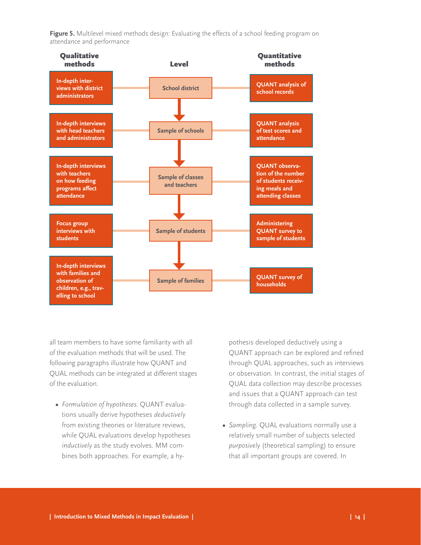<span id="page-17-0"></span>**Figure 5.** Multilevel mixed methods design: Evaluating the effects of a school feeding program on attendance and performance



all team members to have some familiarity with all of the evaluation methods that will be used. The following paragraphs illustrate how QUANT and QUAL methods can be integrated at different stages of the evaluation.

**•**  *Formulation of hypotheses.* QUANT evaluations usually derive hypotheses *deductively* from existing theories or literature reviews, while QUAL evaluations develop hypotheses *inductively* as the study evolves. MM combines both approaches. For example, a hy-

pothesis developed deductively using a QUANT approach can be explored and refined through QUAL approaches, such as interviews or observation. In contrast, the initial stages of QUAL data collection may describe processes and issues that a QUANT approach can test through data collected in a sample survey.

**•**  *Sampling.* QUAL evaluations normally use a relatively small number of subjects selected *purposively* (theoretical sampling) to ensure that all important groups are covered. In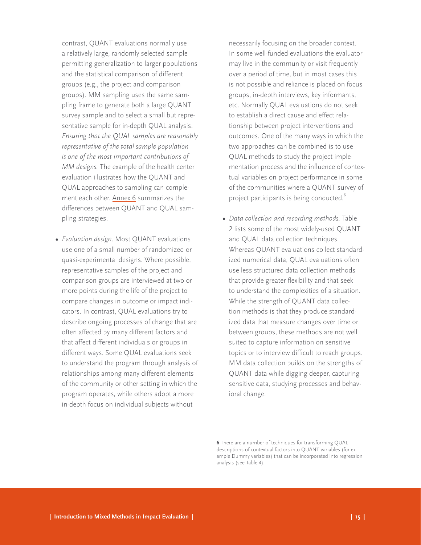contrast, QUANT evaluations normally use a relatively large, randomly selected sample permitting generalization to larger populations and the statistical comparison of different groups (e.g., the project and comparison groups). MM sampling uses the same sampling frame to generate both a large QUANT survey sample and to select a small but representative sample for in-depth QUAL analysis. *Ensuring that the QUAL samples are reasonably representative of the total sample population is one of the most important contributions of MM designs.* The example of the health center evaluation illustrates how the QUANT and QUAL approaches to sampling can complement each other. [Annex 6](http://www.interaction.org/annex-6-comparing-random-and-purposive-sampling-methods) summarizes the differences between QUANT and QUAL sampling strategies.

**•**  *Evaluation design.* Most QUANT evaluations use one of a small number of randomized or quasi-experimental designs. Where possible, representative samples of the project and comparison groups are interviewed at two or more points during the life of the project to compare changes in outcome or impact indicators. In contrast, QUAL evaluations try to describe ongoing processes of change that are often affected by many different factors and that affect different individuals or groups in different ways. Some QUAL evaluations seek to understand the program through analysis of relationships among many different elements of the community or other setting in which the program operates, while others adopt a more in-depth focus on individual subjects without

necessarily focusing on the broader context. In some well-funded evaluations the evaluator may live in the community or visit frequently over a period of time, but in most cases this is not possible and reliance is placed on focus groups, in-depth interviews, key informants, etc. Normally QUAL evaluations do not seek to establish a direct cause and effect relationship between project interventions and outcomes. One of the many ways in which the two approaches can be combined is to use QUAL methods to study the project implementation process and the influence of contextual variables on project performance in some of the communities where a QUANT survey of project participants is being conducted.<sup>6</sup>

**•**  *Data collection and recording methods.* Table 2 lists some of the most widely-used QUANT and QUAL data collection techniques. Whereas QUANT evaluations collect standardized numerical data, QUAL evaluations often use less structured data collection methods that provide greater flexibility and that seek to understand the complexities of a situation. While the strength of QUANT data collection methods is that they produce standardized data that measure changes over time or between groups, these methods are not well suited to capture information on sensitive topics or to interview difficult to reach groups. MM data collection builds on the strengths of QUANT data while digging deeper, capturing sensitive data, studying processes and behavioral change.

**<sup>6</sup>** There are a number of techniques for transforming QUAL descriptions of contextual factors into QUANT variables (for example Dummy variables) that can be incorporated into regression analysis (see Table 4).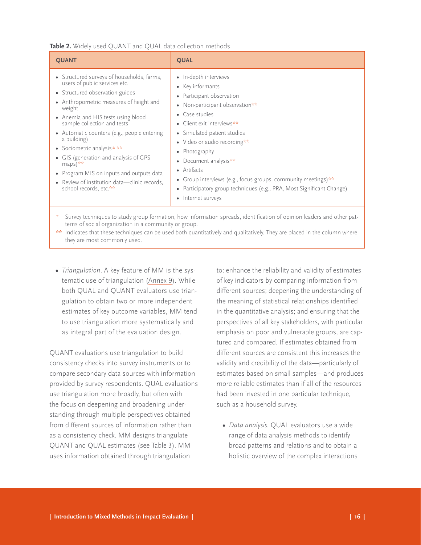#### <span id="page-19-0"></span>**Table 2.** Widely used QUANT and QUAL data collection methods

| <b>OUANT</b>                                                                                                                                                                                                                                                                                                                                                                                                                                                                                                                    | <b>QUAL</b>                                                                                                                                                                                                                                                                                                                                                                                                                                         |
|---------------------------------------------------------------------------------------------------------------------------------------------------------------------------------------------------------------------------------------------------------------------------------------------------------------------------------------------------------------------------------------------------------------------------------------------------------------------------------------------------------------------------------|-----------------------------------------------------------------------------------------------------------------------------------------------------------------------------------------------------------------------------------------------------------------------------------------------------------------------------------------------------------------------------------------------------------------------------------------------------|
| • Structured surveys of households, farms,<br>users of public services etc.<br>• Structured observation guides<br>• Anthropometric measures of height and<br>weight<br>• Anemia and HIS tests using blood<br>sample collection and tests<br>• Automatic counters (e.g., people entering<br>a building)<br>• Sociometric analysis $\pm \frac{1}{2}$<br>• GIS (generation and analysis of GPS<br>$maps)$ **<br>• Program MIS on inputs and outputs data<br>• Review of institution data-clinic records,<br>school records, etc.** | • In-depth interviews<br>• Key informants<br>Participant observation<br>Non-participant observation**<br>Case studies<br>• Client exit interviews**<br>• Simulated patient studies<br>• Video or audio recording**<br>Photography<br>Document analysis**<br>• Artifacts<br>• Group interviews (e.g., focus groups, community meetings) $**$<br>Participatory group techniques (e.g., PRA, Most Significant Change)<br>Internet surveys<br>$\bullet$ |
|                                                                                                                                                                                                                                                                                                                                                                                                                                                                                                                                 | Survey techniques to study group formation, how information spreads, identification of opinion leaders and other pat-                                                                                                                                                                                                                                                                                                                               |

- terns of social organization in a community or group. \*\* Indicates that these techniques can be used both quantitatively and qualitatively. They are placed in the column where they are most commonly used.
- **•**  *Triangulation*. A key feature of MM is the systematic use of triangulation ([Annex](http://www.interaction.org/annex-9-example-triangulation-comparing-estimates-household-income-and-poverty-different-sources) 9). While both QUAL and QUANT evaluators use triangulation to obtain two or more independent estimates of key outcome variables, MM tend to use triangulation more systematically and as integral part of the evaluation design.

QUANT evaluations use triangulation to build consistency checks into survey instruments or to compare secondary data sources with information provided by survey respondents. QUAL evaluations use triangulation more broadly, but often with the focus on deepening and broadening understanding through multiple perspectives obtained from different sources of information rather than as a consistency check. MM designs triangulate QUANT and QUAL estimates (see Table 3). MM uses information obtained through triangulation

to: enhance the reliability and validity of estimates of key indicators by comparing information from different sources; deepening the understanding of the meaning of statistical relationships identified in the quantitative analysis; and ensuring that the perspectives of all key stakeholders, with particular emphasis on poor and vulnerable groups, are captured and compared. If estimates obtained from different sources are consistent this increases the validity and credibility of the data—particularly of estimates based on small samples—and produces more reliable estimates than if all of the resources had been invested in one particular technique, such as a household survey.

**•**  *Data analysis*. QUAL evaluators use a wide range of data analysis methods to identify broad patterns and relations and to obtain a holistic overview of the complex interactions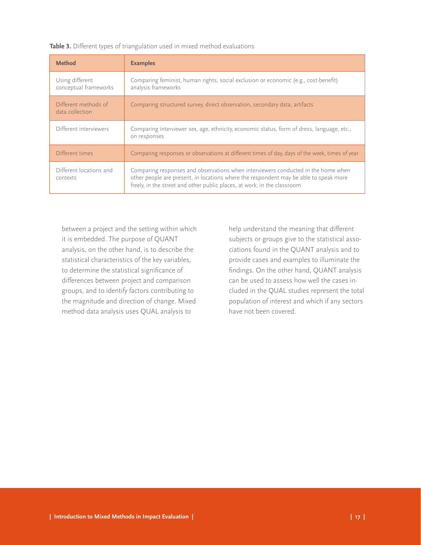<span id="page-20-0"></span>

|  |  |  | Table 3. Different types of triangulation used in mixed method evaluations |
|--|--|--|----------------------------------------------------------------------------|
|--|--|--|----------------------------------------------------------------------------|

| <b>Method</b>                            | <b>Examples</b>                                                                                                                                                                                                                                        |
|------------------------------------------|--------------------------------------------------------------------------------------------------------------------------------------------------------------------------------------------------------------------------------------------------------|
| Using different<br>conceptual frameworks | Comparing feminist, human rights, social exclusion or economic (e.g., cost-benefit)<br>analysis frameworks                                                                                                                                             |
| Different methods of<br>data collection  | Comparing structured survey, direct observation, secondary data, artifacts                                                                                                                                                                             |
| Different interviewers                   | Comparing interviewer sex, age, ethnicity, economic status, form of dress, language, etc.,<br>on responses                                                                                                                                             |
| Different times                          | Comparing responses or observations at different times of day, days of the week, times of year                                                                                                                                                         |
| Different locations and<br>contexts      | Comparing responses and observations when interviewers conducted in the home when<br>other people are present, in locations where the respondent may be able to speak more<br>freely, in the street and other public places, at work, in the classroom |

between a project and the setting within which it is embedded. The purpose of QUANT analysis, on the other hand, is to describe the statistical characteristics of the key variables, to determine the statistical significance of differences between project and comparison groups, and to identify factors contributing to the magnitude and direction of change. Mixed method data analysis uses QUAL analysis to

help understand the meaning that different subjects or groups give to the statistical associations found in the QUANT analysis and to provide cases and examples to illuminate the findings. On the other hand, QUANT analysis can be used to assess how well the cases included in the QUAL studies represent the total population of interest and which if any sectors have not been covered.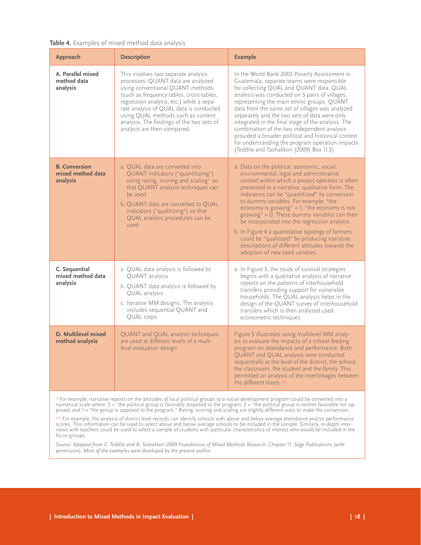#### <span id="page-21-0"></span>**Table 4.** Examples of mixed method data analysis

| Approach                                              | <b>Description</b>                                                                                                                                                                                                                                                                                                                                                 | <b>Example</b>                                                                                                                                                                                                                                                                                                                                                                                                                                                                                                                                                                                                                                      |
|-------------------------------------------------------|--------------------------------------------------------------------------------------------------------------------------------------------------------------------------------------------------------------------------------------------------------------------------------------------------------------------------------------------------------------------|-----------------------------------------------------------------------------------------------------------------------------------------------------------------------------------------------------------------------------------------------------------------------------------------------------------------------------------------------------------------------------------------------------------------------------------------------------------------------------------------------------------------------------------------------------------------------------------------------------------------------------------------------------|
| A. Parallel mixed<br>method data<br>analysis          | This involves two separate analysis<br>processes: QUANT data are analyzed<br>using conventional QUANT methods<br>(such as frequency tables, cross-tables,<br>regression analysis, etc.) while a sepa-<br>rate analysis of QUAL data is conducted<br>using QUAL methods such as content<br>analysis. The findings of the two sets of<br>analysis are then compared. | In the World Bank 2003 Poverty Assessment in<br>Guatemala, separate teams were responsible<br>for collecting QUAL and QUANT data. QUAL<br>analysis was conducted on 5 pairs of villages,<br>representing the main ethnic groups. QUANT<br>data from the same set of villages was analyzed<br>separately and the two sets of data were only<br>integrated in the final stage of the analysis. The<br>combination of the two independent analysis<br>provided a broader political and historical context<br>for understanding the program operation impacts<br>(Teddlie and Tashakkori (2009) Box 11.5).                                              |
| <b>B. Conversion</b><br>mixed method data<br>analysis | a. OUAL data are converted into<br>QUANT indicators ("quantitizing")<br>using rating, scoring and scaling* so<br>that QUANT analysis techniques can<br>be used<br>b. QUANT data are converted to QUAL<br>indicators ("qualitizing") so that<br>QUAL analysis procedures can be<br>used                                                                             | a. Data on the political, economic, social,<br>environmental, legal and administrative<br>context within which a project operates is often<br>presented in a narrative, qualitative form. The<br>indicators can be "quantitized" by conversion<br>to dummy variables. For example: "the<br>economy is growing" = $1$ , "the economy is not<br>growing" = $\overline{0}$ . These dummy variables can then<br>be incorporated into the regression analysis.<br>b. In Figure 4 a quantitative typology of farmers<br>could be "qualitized" by producing narrative<br>descriptions of different attitudes towards the<br>adoption of new seed varieties |
| C. Sequential<br>mixed method data<br>analysis        | a. QUAL data analysis is followed by<br>QUANT analysis<br>b. QUANT data analysis is followed by<br>QUAL analysis<br>c. Iterative MM designs. The analysis<br>includes sequential QUANT and<br>QUAL steps                                                                                                                                                           | a. In Figure 3, the study of survival strategies<br>begins with a qualitative analysis of narrative<br>reports on the patterns of interhousehold<br>transfers providing support for vulnerable<br>households. The QUAL analysis helps in the<br>design of the QUANT survey of interhousehold<br>transfers which is then analyzed used<br>econometric techniques.                                                                                                                                                                                                                                                                                    |
| D. Multilevel mixed<br>method analysis                | QUANT and QUAL analysis techniques<br>are used at different levels of a multi-<br>level evaluation design                                                                                                                                                                                                                                                          | Figure 5 illustrates using multilevel MM analy-<br>sis to evaluate the impacts of a school feeding<br>program on attendance and performance. Both<br>QUANT and QUAL analysis were conducted<br>sequentially at the level of the district, the school,<br>the classroom, the student and the family. This<br>permitted an analysis of the interlinkages between<br>the different levels.**                                                                                                                                                                                                                                                           |

\* For example, narrative reports on the attitudes of local political groups to a social development program could be converted into a numerical scale where: 3 = "the political group is favorably disposed to the program; 2 = "the political group is neither favorable nor opposed; and 1 = "the group is opposed to the program." Rating, scoring and scaling are slightly different ways to make the conversion.

\*\* For example, the analysis of district level records can identify schools with above and below average attendance and/or performance scores. This information can be used to select above and below average schools to be included in the sample. Similarly, in-depth interviews with teachers could be used to select a sample of students with particular characteristics of interest who would be included in the focus groups.

*Source: Adapted from C. Teddlie and A. Tashakkori 2009 Foundations of Mixed Methods Research. Chapter 11, Sage Publications (with permission). Most of the examples were developed by the present author.*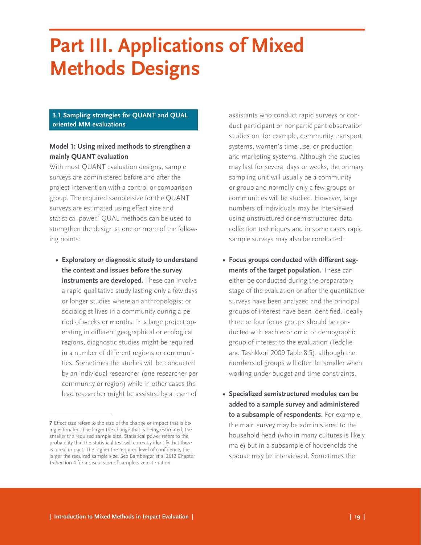# <span id="page-22-0"></span>**Part III. Applications of Mixed Methods Designs**

## **3.1 Sampling strategies for QUANT and QUAL oriented MM evaluations**

## **Model 1: Using mixed methods to strengthen a mainly QUANT evaluation**

With most QUANT evaluation designs, sample surveys are administered before and after the project intervention with a control or comparison group. The required sample size for the QUANT surveys are estimated using effect size and statistical power. $\sqrt[7]{}$  QUAL methods can be used to strengthen the design at one or more of the following points:

**• Exploratory or diagnostic study to understand the context and issues before the survey instruments are developed.** These can involve a rapid qualitative study lasting only a few days or longer studies where an anthropologist or sociologist lives in a community during a period of weeks or months. In a large project operating in different geographical or ecological regions, diagnostic studies might be required in a number of different regions or communities. Sometimes the studies will be conducted by an individual researcher (one researcher per community or region) while in other cases the lead researcher might be assisted by a team of

assistants who conduct rapid surveys or conduct participant or nonparticipant observation studies on, for example, community transport systems, women's time use, or production and marketing systems. Although the studies may last for several days or weeks, the primary sampling unit will usually be a community or group and normally only a few groups or communities will be studied. However, large numbers of individuals may be interviewed using unstructured or semistructured data collection techniques and in some cases rapid sample surveys may also be conducted.

- **• Focus groups conducted with different segments of the target population.** These can either be conducted during the preparatory stage of the evaluation or after the quantitative surveys have been analyzed and the principal groups of interest have been identified. Ideally three or four focus groups should be conducted with each economic or demographic group of interest to the evaluation (Teddlie and Tashkkori 2009 Table 8.5), although the numbers of groups will often be smaller when working under budget and time constraints.
- **• Specialized semistructured modules can be added to a sample survey and administered to a subsample of respondents.** For example, the main survey may be administered to the household head (who in many cultures is likely male) but in a subsample of households the spouse may be interviewed. Sometimes the

**<sup>7</sup>** Effect size refers to the size of the change or impact that is being estimated. The larger the change that is being estimated, the smaller the required sample size. Statistical power refers to the probability that the statistical test will correctly identify that there is a real impact. The higher the required level of confidence, the larger the required sample size. See Bamberger et al 2012 Chapter 15 Section 4 for a discussion of sample size estimation.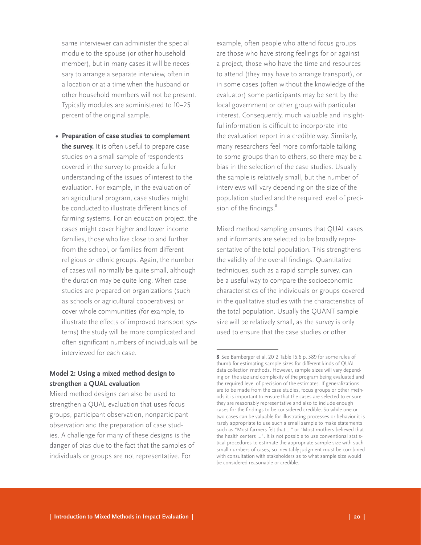same interviewer can administer the special module to the spouse (or other household member), but in many cases it will be necessary to arrange a separate interview, often in a location or at a time when the husband or other household members will not be present. Typically modules are administered to 10–25 percent of the original sample.

**• Preparation of case studies to complement the survey.** It is often useful to prepare case studies on a small sample of respondents covered in the survey to provide a fuller understanding of the issues of interest to the evaluation. For example, in the evaluation of an agricultural program, case studies might be conducted to illustrate different kinds of farming systems. For an education project, the cases might cover higher and lower income families, those who live close to and further from the school, or families from different religious or ethnic groups. Again, the number of cases will normally be quite small, although the duration may be quite long. When case studies are prepared on organizations (such as schools or agricultural cooperatives) or cover whole communities (for example, to illustrate the effects of improved transport systems) the study will be more complicated and often significant numbers of individuals will be interviewed for each case.

## **Model 2: Using a mixed method design to strengthen a QUAL evaluation**

Mixed method designs can also be used to strengthen a QUAL evaluation that uses focus groups, participant observation, nonparticipant observation and the preparation of case studies. A challenge for many of these designs is the danger of bias due to the fact that the samples of individuals or groups are not representative. For

example, often people who attend focus groups are those who have strong feelings for or against a project, those who have the time and resources to attend (they may have to arrange transport), or in some cases (often without the knowledge of the evaluator) some participants may be sent by the local government or other group with particular interest. Consequently, much valuable and insightful information is difficult to incorporate into the evaluation report in a credible way. Similarly, many researchers feel more comfortable talking to some groups than to others, so there may be a bias in the selection of the case studies. Usually the sample is relatively small, but the number of interviews will vary depending on the size of the population studied and the required level of precision of the findings.<sup>8</sup>

Mixed method sampling ensures that QUAL cases and informants are selected to be broadly representative of the total population. This strengthens the validity of the overall findings. Quantitative techniques, such as a rapid sample survey, can be a useful way to compare the socioeconomic characteristics of the individuals or groups covered in the qualitative studies with the characteristics of the total population. Usually the QUANT sample size will be relatively small, as the survey is only used to ensure that the case studies or other

**<sup>8</sup>** See Bamberger et al. 2012 Table 15.6 p. 389 for some rules of thumb for estimating sample sizes for different kinds of QUAL data collection methods. However, sample sizes will vary depending on the size and complexity of the program being evaluated and the required level of precision of the estimates. If generalizations are to be made from the case studies, focus groups or other methods it is important to ensure that the cases are selected to ensure they are reasonably representative and also to include enough cases for the findings to be considered credible. So while one or two cases can be valuable for illustrating processes or behavior it is rarely appropriate to use such a small sample to make statements such as "Most farmers felt that …" or "Most mothers believed that the health centers …". It is not possible to use conventional statistical procedures to estimate the appropriate sample size with such small numbers of cases, so inevitably judgment must be combined with consultation with stakeholders as to what sample size would be considered reasonable or credible.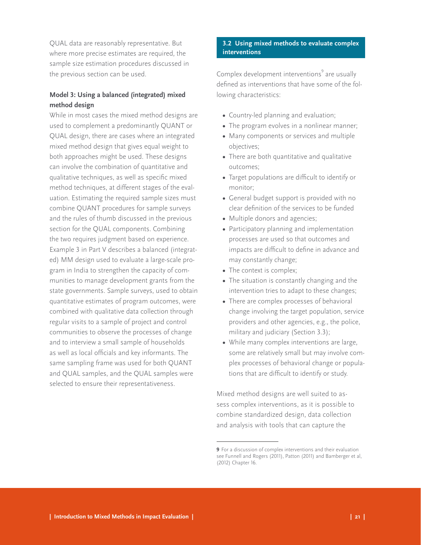<span id="page-24-0"></span>QUAL data are reasonably representative. But where more precise estimates are required, the sample size estimation procedures discussed in the previous section can be used.

## **Model 3: Using a balanced (integrated) mixed method design**

While in most cases the mixed method designs are used to complement a predominantly QUANT or QUAL design, there are cases where an integrated mixed method design that gives equal weight to both approaches might be used. These designs can involve the combination of quantitative and qualitative techniques, as well as specific mixed method techniques, at different stages of the evaluation. Estimating the required sample sizes must combine QUANT procedures for sample surveys and the rules of thumb discussed in the previous section for the QUAL components. Combining the two requires judgment based on experience. Example 3 in Part V describes a balanced (integrated) MM design used to evaluate a large-scale program in India to strengthen the capacity of communities to manage development grants from the state governments. Sample surveys, used to obtain quantitative estimates of program outcomes, were combined with qualitative data collection through regular visits to a sample of project and control communities to observe the processes of change and to interview a small sample of households as well as local officials and key informants. The same sampling frame was used for both QUANT and QUAL samples, and the QUAL samples were selected to ensure their representativeness.

## **3.2 Using mixed methods to evaluate complex interventions**

Complex development interventions<sup>9</sup> are usually defined as interventions that have some of the following characteristics:

- **•**  Country-led planning and evaluation;
- The program evolves in a nonlinear manner;
- **•**  Many components or services and multiple objectives;
- There are both quantitative and qualitative outcomes;
- **•**  Target populations are difficult to identify or monitor;
- **•**  General budget support is provided with no clear definition of the services to be funded
- Multiple donors and agencies;
- Participatory planning and implementation processes are used so that outcomes and impacts are difficult to define in advance and may constantly change;
- The context is complex;
- The situation is constantly changing and the intervention tries to adapt to these changes;
- There are complex processes of behavioral change involving the target population, service providers and other agencies, e.g., the police, military and judiciary (Section 3.3);
- While many complex interventions are large, some are relatively small but may involve complex processes of behavioral change or populations that are difficult to identify or study.

Mixed method designs are well suited to assess complex interventions, as it is possible to combine standardized design, data collection and analysis with tools that can capture the

**<sup>9</sup>** For a discussion of complex interventions and their evaluation see Funnell and Rogers (2011), Patton (2011) and Bamberger et al, (2012) Chapter 16.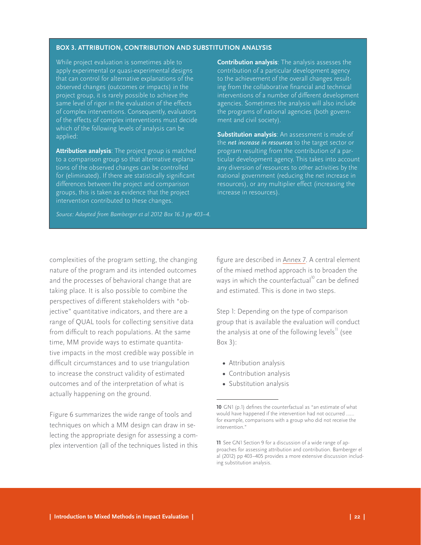#### <span id="page-25-0"></span>**BOX 3. ATTRIBUTION, CONTRIBUTION AND SUBSTITUTION ANALYSIS**

While project evaluation is sometimes able to apply experimental or quasi-experimental designs that can control for alternative explanations of the observed changes (outcomes or impacts) in the project group, it is rarely possible to achieve the same level of rigor in the evaluation of the effects of complex interventions. Consequently, evaluators of the effects of complex interventions must decide which of the following levels of analysis can be applied:

**Attribution analysis**: The project group is matched to a comparison group so that alternative explanations of the observed changes can be controlled for (eliminated). If there are statistically significant differences between the project and comparison groups, this is taken as evidence that the project intervention contributed to these changes.

*Source: Adapted from Bamberger et al 2012 Box 16.3 pp 403–4.*

**Contribution analysis**: The analysis assesses the contribution of a particular development agency to the achievement of the overall changes resulting from the collaborative financial and technical interventions of a number of different development agencies. Sometimes the analysis will also include the programs of national agencies (both government and civil society).

**Substitution analysis**: An assessment is made of the *net increase in resources* to the target sector or program resulting from the contribution of a particular development agency. This takes into account any diversion of resources to other activities by the national government (reducing the net increase in resources), or any multiplier effect (increasing the increase in resources).

complexities of the program setting, the changing nature of the program and its intended outcomes and the processes of behavioral change that are taking place. It is also possible to combine the perspectives of different stakeholders with "objective" quantitative indicators, and there are a range of QUAL tools for collecting sensitive data from difficult to reach populations. At the same time, MM provide ways to estimate quantitative impacts in the most credible way possible in difficult circumstances and to use triangulation to increase the construct validity of estimated outcomes and of the interpretation of what is actually happening on the ground.

Figure 6 summarizes the wide range of tools and techniques on which a MM design can draw in selecting the appropriate design for assessing a complex intervention (all of the techniques listed in this

figure are described in [Annex](http://www.interaction.org/annex-7-range-quantitative-qualitative-and-theory-based-approaches-defining-counterfactual) 7. A central element of the mixed method approach is to broaden the ways in which the counterfactual<sup>10</sup> can be defined and estimated. This is done in two steps.

Step 1: Depending on the type of comparison group that is available the evaluation will conduct the analysis at one of the following levels<sup>11</sup> (see Box 3):

- **•**  Attribution analysis
- **•**  Contribution analysis
- **•**  Substitution analysis

**<sup>10</sup>** GN1 (p.1) defines the counterfactual as "an estimate of what would have happened if the intervention had not occurred …… for example, comparisons with a group who did not receive the intervention."

**<sup>11</sup>** See GN1 Section 9 for a discussion of a wide range of approaches for assessing attribution and contribution. Bamberger el al (2012) pp 403–405 provides a more extensive discussion including substitution analysis.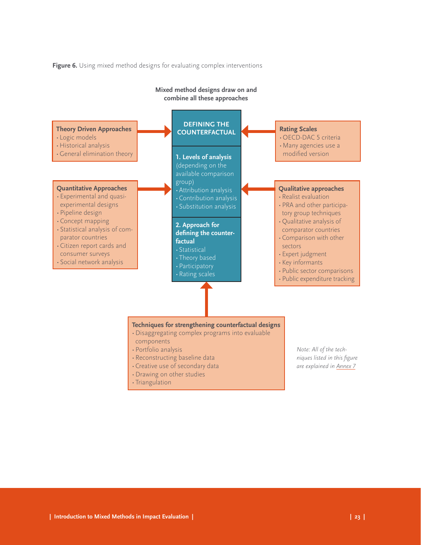**Figure 6.** Using mixed method designs for evaluating complex interventions

<span id="page-26-0"></span>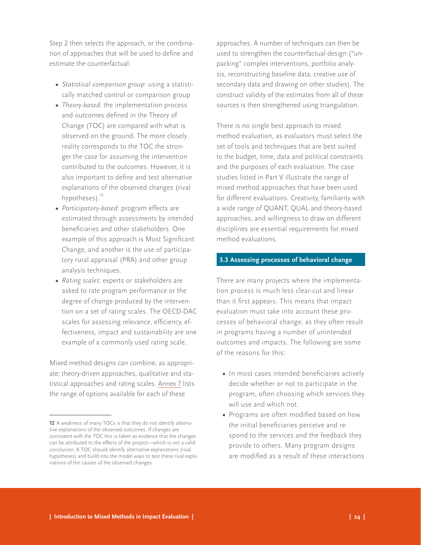<span id="page-27-0"></span>Step 2 then selects the approach, or the combination of approaches that will be used to define and estimate the counterfactual:

- **•**  *Statistical comparison group*: using a statistically matched control or comparison group
- **•**  *Theory-based*: the implementation process and outcomes defined in the Theory of Change (TOC) are compared with what is observed on the ground. The more closely reality corresponds to the TOC the stronger the case for assuming the intervention contributed to the outcomes. However, it is also important to define and test alternative explanations of the observed changes (rival hypotheses). $^{12}$
- **•**  *Participatory-based*: program effects are estimated through assessments by intended beneficiaries and other stakeholders. One example of this approach is Most Significant Change, and another is the use of participatory rural appraisal (PRA) and other group analysis techniques.
- **•**  *Rating scales*: experts or stakeholders are asked to rate program performance or the degree of change produced by the intervention on a set of rating scales. The OECD-DAC scales for assessing relevance, efficiency, effectiveness, impact and sustainability are one example of a commonly used rating scale.

Mixed method designs can combine, as appropriate: theory-driven approaches, qualitative and statistical approaches and rating scales. [Annex 7](http://www.interaction.org/annex-7-range-quantitative-qualitative-and-theory-based-approaches-defining-counterfactual) lists the range of options available for each of these

approaches. A number of techniques can then be used to strengthen the counterfactual design ("unpacking" complex interventions, portfolio analysis, reconstructing baseline data, creative use of secondary data and drawing on other studies). The construct validity of the estimates from all of these sources is then strengthened using triangulation.

There is no single best approach to mixed method evaluation, as evaluators must select the set of tools and techniques that are best suited to the budget, time, data and political constraints and the purposes of each evaluation. The case studies listed in Part V illustrate the range of mixed method approaches that have been used for different evaluations. Creativity, familiarity with a wide range of QUANT, QUAL and theory-based approaches, and willingness to draw on different disciplines are essential requirements for mixed method evaluations.

#### **3.3 Assessing processes of behavioral change**

There are many projects where the implementation process is much less clear-cut and linear than it first appears. This means that impact evaluation must take into account these processes of behavioral change, as they often result in programs having a number of unintended outcomes and impacts. The following are some of the reasons for this:

- In most cases intended beneficiaries actively decide whether or not to participate in the program, often choosing which services they will use and which not.
- **•**  Programs are often modified based on how the initial beneficiaries perceive and respond to the services and the feedback they provide to others. Many program designs are modified as a result of these interactions

**<sup>12</sup>** A weakness of many TOCs is that they do not identify alternative explanations of the observed outcomes. If changes are consistent with the TOC this is taken as evidence that the changes can be attributed to the effects of the project—which is not a valid conclusion. A TOC should identify alternative explanations (rival hypotheses) and build into the model ways to test these rival explanations of the causes of the observed changes.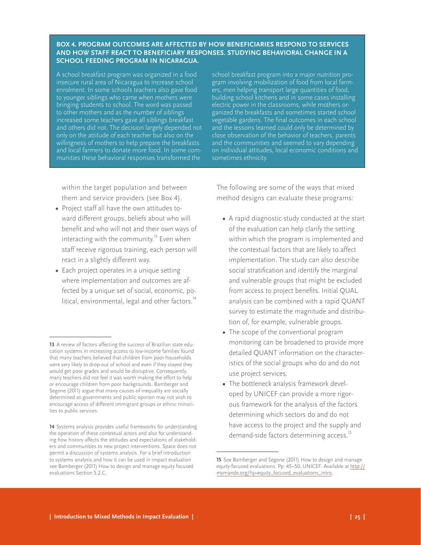#### <span id="page-28-0"></span>**BOX 4. PROGRAM OUTCOMES ARE AFFECTED BY HOW BENEFICIARIES RESPOND TO SERVICES AND HOW STAFF REACT TO BENEFICIARY RESPONSES. STUDYING BEHAVIORAL CHANGE IN A SCHOOL FEEDING PROGRAM IN NICARAGUA.**

A school breakfast program was organized in a food insecure rural area of Nicaragua to increase school enrolment. In some schools teachers also gave food to younger siblings who came when mothers were bringing students to school. The word was passed to other mothers and as the number of siblings increased some teachers gave all siblings breakfast and others did not. The decision largely depended not only on the attitude of each teacher but also on the willingness of mothers to help prepare the breakfasts and local farmers to donate more food. In some communities these behavioral responses transformed the

school breakfast program into a major nutrition program involving mobilization of food from local farmers, men helping transport large quantities of food, building school kitchens and in some cases installing electric power in the classrooms, while mothers organized the breakfasts and sometimes started school vegetable gardens. The final outcomes in each school and the lessons learned could only be determined by close observation of the behavior of teachers, parents and the communities and seemed to vary depending on individual attitudes, local economic conditions and sometimes ethnicity.

within the target population and between them and service providers (see Box 4).

- **•**  Project staff all have the own attitudes toward different groups, beliefs about who will benefit and who will not and their own ways of interacting with the community.<sup>13</sup> Even when staff receive rigorous training, each person will react in a slightly different way.
- Each project operates in a unique setting where implementation and outcomes are affected by a unique set of social, economic, political, environmental, legal and other factors.<sup>14</sup>

The following are some of the ways that mixed method designs can evaluate these programs:

- **•**  A rapid diagnostic study conducted at the start of the evaluation can help clarify the setting within which the program is implemented and the contextual factors that are likely to affect implementation. The study can also describe social stratification and identify the marginal and vulnerable groups that might be excluded from access to project benefits. Initial QUAL analysis can be combined with a rapid QUANT survey to estimate the magnitude and distribution of, for example, vulnerable groups.
- The scope of the conventional program monitoring can be broadened to provide more detailed QUANT information on the characteristics of the social groups who do and do not use project services.
- The bottleneck analysis framework developed by UNICEF can provide a more rigorous framework for the analysis of the factors determining which sectors do and do not have access to the project and the supply and demand-side factors determining access.<sup>15</sup>

**<sup>13</sup>** A review of factors affecting the success of Brazilian state education systems in increasing access to low-income families found that many teachers believed that children from poor households were very likely to drop-out of school and even if they stayed they would get poor grades and would be disruptive. Consequently, many teachers did not feel it was worth making the effort to help or encourage children from poor backgrounds. Bamberger and Segone (2011) argue that many causes of inequality are socially determined as governments and public opinion may not wish to encourage access of different immigrant groups or ethnic minorities to public services.

**<sup>14</sup>** Systems analysis provides useful frameworks for understanding the operation of these contextual actors and also for understanding how history affects the attitudes and expectations of stakeholders and communities to new project interventions. Space does not permit a discussion of systems analysis. For a brief introduction to systems analysis and how it can be used in impact evaluation see Bamberger (2011) How to design and manage equity focused evaluations Section 5.2.C.

**<sup>15</sup>** See Bamberger and Segone (2011) How to design and manage equity-focused evaluations. Pp. 45–50. UNICEF. Available at http:// mymande.org/?q=equity\_focused\_evaluations\_intro.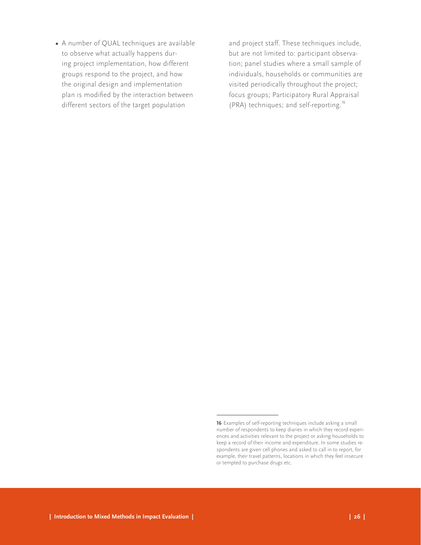**•**  A number of QUAL techniques are available to observe what actually happens during project implementation, how different groups respond to the project, and how the original design and implementation plan is modified by the interaction between different sectors of the target population

and project staff. These techniques include, but are not limited to: participant observation; panel studies where a small sample of individuals, households or communities are visited periodically throughout the project; focus groups; Participatory Rural Appraisal (PRA) techniques; and self-reporting.<sup>16</sup>

**<sup>16</sup>** Examples of self-reporting techniques include asking a small number of respondents to keep diaries in which they record experiences and activities relevant to the project or asking households to keep a record of their income and expenditure. In some studies respondents are given cell phones and asked to call in to report, for example, their travel patterns, locations in which they feel insecure or tempted to purchase drugs etc.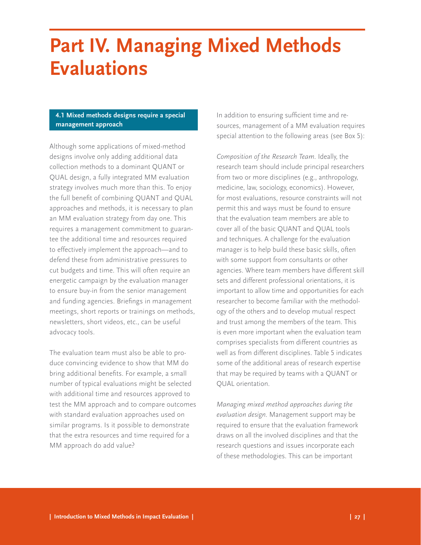## <span id="page-30-0"></span>**Part IV. Managing Mixed Methods Evaluations**

## **4.1 Mixed methods designs require a special management approach**

Although some applications of mixed-method designs involve only adding additional data collection methods to a dominant QUANT or QUAL design, a fully integrated MM evaluation strategy involves much more than this. To enjoy the full benefit of combining QUANT and QUAL approaches and methods, it is necessary to plan an MM evaluation strategy from day one. This requires a management commitment to guarantee the additional time and resources required to effectively implement the approach—and to defend these from administrative pressures to cut budgets and time. This will often require an energetic campaign by the evaluation manager to ensure buy-in from the senior management and funding agencies. Briefings in management meetings, short reports or trainings on methods, newsletters, short videos, etc., can be useful advocacy tools.

The evaluation team must also be able to produce convincing evidence to show that MM do bring additional benefits. For example, a small number of typical evaluations might be selected with additional time and resources approved to test the MM approach and to compare outcomes with standard evaluation approaches used on similar programs. Is it possible to demonstrate that the extra resources and time required for a MM approach do add value?

In addition to ensuring sufficient time and resources, management of a MM evaluation requires special attention to the following areas (see Box 5):

*Composition of the Research Team.* Ideally, the research team should include principal researchers from two or more disciplines (e.g., anthropology, medicine, law, sociology, economics). However, for most evaluations, resource constraints will not permit this and ways must be found to ensure that the evaluation team members are able to cover all of the basic QUANT and QUAL tools and techniques. A challenge for the evaluation manager is to help build these basic skills, often with some support from consultants or other agencies. Where team members have different skill sets and different professional orientations, it is important to allow time and opportunities for each researcher to become familiar with the methodology of the others and to develop mutual respect and trust among the members of the team. This is even more important when the evaluation team comprises specialists from different countries as well as from different disciplines. Table 5 indicates some of the additional areas of research expertise that may be required by teams with a QUANT or QUAL orientation.

*Managing mixed method approaches during the evaluation design.* Management support may be required to ensure that the evaluation framework draws on all the involved disciplines and that the research questions and issues incorporate each of these methodologies. This can be important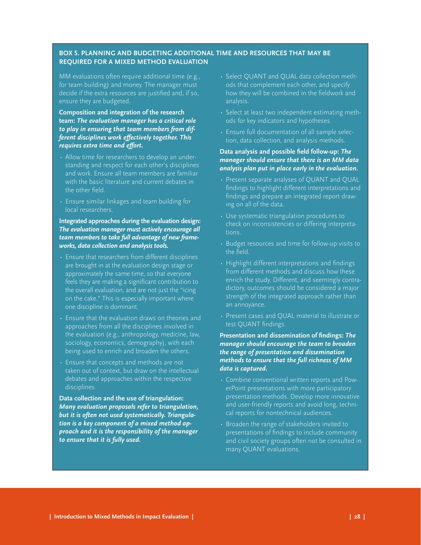## <span id="page-31-0"></span>**BOX 5. PLANNING AND BUDGETING ADDITIONAL TIME AND RESOURCES THAT MAY BE REQUIRED FOR A MIXED METHOD EVALUATION**

MM evaluations often require additional time (e.g., for team building) and money. The manager must decide if the extra resources are justified and, if so, ensure they are budgeted.

## **Composition and integration of the research team:** *The evaluation manager has a critical role to play in ensuring that team members from different disciplines work effectively together. This requires extra time and effort.*

- Allow time for researchers to develop an understanding and respect for each other's disciplines and work. Ensure all team members are familiar with the basic literature and current debates in the other field.
- Ensure similar linkages and team building for local researchers.

## **Integrated approaches during the evaluation design:**  *The evaluation manager must actively encourage all team members to take full advantage of new frameworks, data collection and analysis tools.*

- Ensure that researchers from different disciplines are brought in at the evaluation design stage or approximately the same time, so that everyone feels they are making a significant contribution to the overall evaluation, and are not just the "icing on the cake." This is especially important where one discipline is dominant.
- Ensure that the evaluation draws on theories and approaches from all the disciplines involved in the evaluation (e.g., anthropology, medicine, law, sociology, economics, demography), with each being used to enrich and broaden the others.
- Ensure that concepts and methods are not taken out of context, but draw on the intellectual debates and approaches within the respective disciplines.

**Data collection and the use of triangulation:**  *Many evaluation proposals refer to triangulation, but it is often not used systematically. Triangulation is a key component of a mixed method approach and it is the responsibility of the manager to ensure that it is fully used.* 

- Select QUANT and QUAL data collection methods that complement each other, and specify how they will be combined in the fieldwork and analysis.
- Select at least two independent estimating methods for key indicators and hypotheses.
- Ensure full documentation of all sample selection, data collection, and analysis methods.

## **Data analysis and possible field follow-up:** *The manager should ensure that there is an MM data analysis plan put in place early in the evaluation.*

- Present separate analyses of QUANT and QUAL findings to highlight different interpretations and findings and prepare an integrated report drawing on all of the data.
- Use systematic triangulation procedures to check on inconsistencies or differing interpretations.
- Budget resources and time for follow-up visits to the field.
- Highlight different interpretations and findings from different methods and discuss how these enrich the study. Different, and seemingly contradictory, outcomes should be considered a major strength of the integrated approach rather than an annoyance.
- Present cases and OUAL material to illustrate or test QUANT findings.

### **Presentation and dissemination of findings:** *The manager should encourage the team to broaden the range of presentation and dissemination methods to ensure that the full richness of MM data is captured.*

- Combine conventional written reports and PowerPoint presentations with more participatory presentation methods. Develop more innovative and user-friendly reports and avoid long, technical reports for nontechnical audiences.
- Broaden the range of stakeholders invited to presentations of findings to include community and civil society groups often not be consulted in many QUANT evaluations.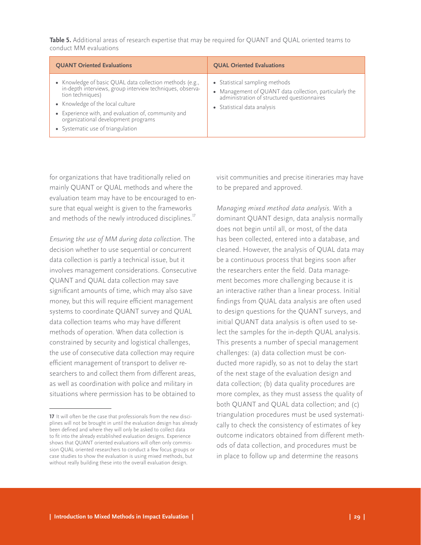<span id="page-32-0"></span>**Table 5.** Additional areas of research expertise that may be required for QUANT and QUAL oriented teams to conduct MM evaluations

| • Knowledge of basic QUAL data collection methods (e.g., in-depth interviews, group interview techniques, observa-<br>• Statistical sampling methods<br>• Management of QUANT data collection, particularly the<br>administration of structured questionnaires<br>tion techniques)<br>• Knowledge of the local culture<br>• Statistical data analysis<br>• Experience with, and evaluation of, community and<br>organizational development programs<br>• Systematic use of triangulation | <b>QUANT Oriented Evaluations</b> | <b>QUAL Oriented Evaluations</b> |
|------------------------------------------------------------------------------------------------------------------------------------------------------------------------------------------------------------------------------------------------------------------------------------------------------------------------------------------------------------------------------------------------------------------------------------------------------------------------------------------|-----------------------------------|----------------------------------|
|                                                                                                                                                                                                                                                                                                                                                                                                                                                                                          |                                   |                                  |

for organizations that have traditionally relied on mainly QUANT or QUAL methods and where the evaluation team may have to be encouraged to ensure that equal weight is given to the frameworks and methods of the newly introduced disciplines.<sup>17</sup>

*Ensuring the use of MM during data collection.* The decision whether to use sequential or concurrent data collection is partly a technical issue, but it involves management considerations. Consecutive QUANT and QUAL data collection may save significant amounts of time, which may also save money, but this will require efficient management systems to coordinate QUANT survey and QUAL data collection teams who may have different methods of operation. When data collection is constrained by security and logistical challenges, the use of consecutive data collection may require efficient management of transport to deliver researchers to and collect them from different areas, as well as coordination with police and military in situations where permission has to be obtained to

visit communities and precise itineraries may have to be prepared and approved.

*Managing mixed method data analysis*. With a dominant QUANT design, data analysis normally does not begin until all, or most, of the data has been collected, entered into a database, and cleaned. However, the analysis of QUAL data may be a continuous process that begins soon after the researchers enter the field. Data management becomes more challenging because it is an interactive rather than a linear process. Initial findings from QUAL data analysis are often used to design questions for the QUANT surveys, and initial QUANT data analysis is often used to select the samples for the in-depth QUAL analysis. This presents a number of special management challenges: (a) data collection must be conducted more rapidly, so as not to delay the start of the next stage of the evaluation design and data collection; (b) data quality procedures are more complex, as they must assess the quality of both QUANT and QUAL data collection; and (c) triangulation procedures must be used systematically to check the consistency of estimates of key outcome indicators obtained from different methods of data collection, and procedures must be in place to follow up and determine the reasons

**<sup>17</sup>** It will often be the case that professionals from the new disciplines will not be brought in until the evaluation design has already been defined and where they will only be asked to collect data to fit into the already established evaluation designs. Experience shows that QUANT oriented evaluations will often only commission QUAL oriented researchers to conduct a few focus groups or case studies to show the evaluation is using mixed methods, but without really building these into the overall evaluation design.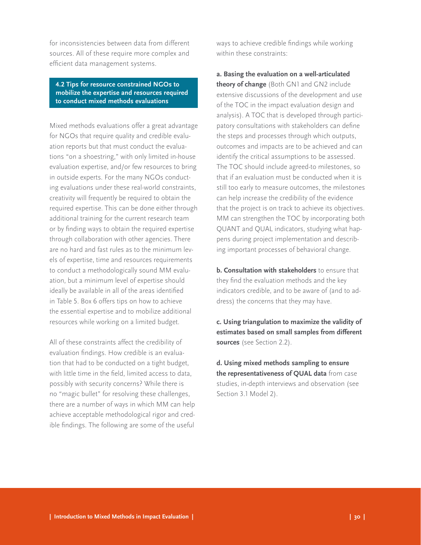<span id="page-33-0"></span>for inconsistencies between data from different sources. All of these require more complex and efficient data management systems.

**4.2 Tips for resource constrained NGOs to mobilize the expertise and resources required to conduct mixed methods evaluations**

Mixed methods evaluations offer a great advantage for NGOs that require quality and credible evaluation reports but that must conduct the evaluations "on a shoestring," with only limited in-house evaluation expertise, and/or few resources to bring in outside experts. For the many NGOs conducting evaluations under these real-world constraints, creativity will frequently be required to obtain the required expertise. This can be done either through additional training for the current research team or by finding ways to obtain the required expertise through collaboration with other agencies. There are no hard and fast rules as to the minimum levels of expertise, time and resources requirements to conduct a methodologically sound MM evaluation, but a minimum level of expertise should ideally be available in all of the areas identified in Table 5. Box 6 offers tips on how to achieve the essential expertise and to mobilize additional resources while working on a limited budget.

All of these constraints affect the credibility of evaluation findings. How credible is an evaluation that had to be conducted on a tight budget, with little time in the field, limited access to data, possibly with security concerns? While there is no "magic bullet" for resolving these challenges, there are a number of ways in which MM can help achieve acceptable methodological rigor and credible findings. The following are some of the useful

ways to achieve credible findings while working within these constraints:

**a. Basing the evaluation on a well-articulated theory of change** (Both GN1 and GN2 include extensive discussions of the development and use of the TOC in the impact evaluation design and analysis). A TOC that is developed through participatory consultations with stakeholders can define the steps and processes through which outputs, outcomes and impacts are to be achieved and can identify the critical assumptions to be assessed. The TOC should include agreed-to milestones, so that if an evaluation must be conducted when it is still too early to measure outcomes, the milestones can help increase the credibility of the evidence that the project is on track to achieve its objectives. MM can strengthen the TOC by incorporating both QUANT and QUAL indicators, studying what happens during project implementation and describing important processes of behavioral change.

**b. Consultation with stakeholders** to ensure that they find the evaluation methods and the key indicators credible, and to be aware of (and to address) the concerns that they may have.

**c. Using triangulation to maximize the validity of estimates based on small samples from different sources** (see Section 2.2).

**d. Using mixed methods sampling to ensure the representativeness of QUAL data** from case studies, in-depth interviews and observation (see Section 3.1 Model 2).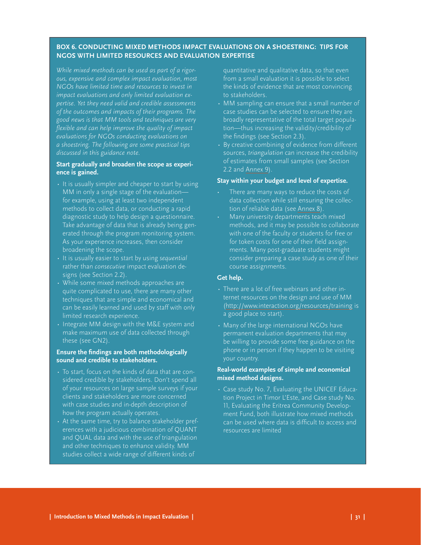## <span id="page-34-0"></span>**BOX 6. CONDUCTING MIXED METHODS IMPACT EVALUATIONS ON A SHOESTRING: TIPS FOR NGOS WITH LIMITED RESOURCES AND EVALUATION EXPERTISE**

*While mixed methods can be used as part of a rigorous, expensive and complex impact evaluation, most NGOs have limited time and resources to invest in impact evaluations and only limited evaluation expertise. Yet they need valid and credible assessments of the outcomes and impacts of their programs. The good news is that MM tools and techniques are very flexible and can help improve the quality of impact evaluations for NGOs conducting evaluations on a shoestring. The following are some practical tips discussed in this guidance note.* 

## **Start gradually and broaden the scope as experience is gained.**

- It is usually simpler and cheaper to start by using MM in only a single stage of the evaluation for example, using at least two independent methods to collect data, or conducting a rapid diagnostic study to help design a questionnaire. Take advantage of data that is already being generated through the program monitoring system. As your experience increases, then consider broadening the scope.
- • It is usually easier to start by using *sequential* rather than *consecutive* impact evaluation designs (see Section 2.2).
- While some mixed methods approaches are quite complicated to use, there are many other techniques that are simple and economical and can be easily learned and used by staff with only limited research experience.
- Integrate MM design with the M&E system and make maximum use of data collected through these (see GN2).

### **Ensure the findings are both methodologically sound and credible to stakeholders.**

- To start, focus on the kinds of data that are considered credible by stakeholders. Don't spend all of your resources on large sample surveys if your clients and stakeholders are more concerned with case studies and in-depth description of how the program actually operates.
- At the same time, try to balance stakeholder preferences with a judicious combination of QUANT and QUAL data and with the use of triangulation and other techniques to enhance validity. MM studies collect a wide range of different kinds of

quantitative and qualitative data, so that even from a small evaluation it is possible to select the kinds of evidence that are most convincing to stakeholders.

- MM sampling can ensure that a small number of case studies can be selected to ensure they are broadly representative of the total target population—thus increasing the validity/credibility of the findings (see Section 2.3).
- By creative combining of evidence from different sources, *triangulation* can increase the credibility of estimates from small samples (see Section 2.2 and [Annex](http://www.interaction.org/annex-9-example-triangulation-comparing-estimates-household-income-and-poverty-different-sources) 9).

### **Stay within your budget and level of expertise.**

- There are many ways to reduce the costs of data collection while still ensuring the collection of reliable data (see [Annex 8](http://www.interaction.org/annex-8-strategies-reducing-costs-data-collection-and-analysis)).
- Many university departments teach mixed methods, and it may be possible to collaborate with one of the faculty or students for free or for token costs for one of their field assignments. Many post-graduate students might consider preparing a case study as one of their course assignments.

### **Get help.**

- There are a lot of free webinars and other internet resources on the design and use of MM (http://www.interaction.org/resources/training is a good place to start).
- Many of the large international NGOs have permanent evaluation departments that may be willing to provide some free guidance on the phone or in person if they happen to be visiting your country.

## **Real-world examples of simple and economical mixed method designs.**

 $\cdot$  Case study No. 7, Evaluating the UNICEF Education Project in Timor L'Este, and Case study No. 11, Evaluating the Eritrea Community Development Fund, both illustrate how mixed methods can be used where data is difficult to access and resources are limited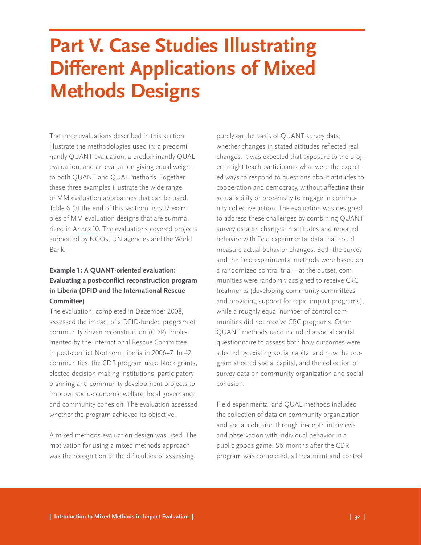# <span id="page-35-0"></span>**Part V. Case Studies Illustrating Different Applications of Mixed Methods Designs**

The three evaluations described in this section illustrate the methodologies used in: a predominantly QUANT evaluation, a predominantly QUAL evaluation, and an evaluation giving equal weight to both QUANT and QUAL methods. Together these three examples illustrate the wide range of MM evaluation approaches that can be used. Table 6 (at the end of this section) lists 17 examples of MM evaluation designs that are summarized in [Annex 10.](http://www.interaction.org/annex-10-case-studies-mm-evaluation-designs-predominant-quant-qual-and-balanced-orientations) The evaluations covered projects supported by NGOs, UN agencies and the World Bank.

## **Example 1: A QUANT-oriented evaluation: Evaluating a post-conflict reconstruction program in Liberia (DFID and the International Rescue Committee)**

The evaluation, completed in December 2008, assessed the impact of a DFID-funded program of community driven reconstruction (CDR) implemented by the International Rescue Committee in post-conflict Northern Liberia in 2006–7. In 42 communities, the CDR program used block grants, elected decision-making institutions, participatory planning and community development projects to improve socio-economic welfare, local governance and community cohesion. The evaluation assessed whether the program achieved its objective.

A mixed methods evaluation design was used. The motivation for using a mixed methods approach was the recognition of the difficulties of assessing,

purely on the basis of QUANT survey data, whether changes in stated attitudes reflected real changes. It was expected that exposure to the project might teach participants what were the expected ways to respond to questions about attitudes to cooperation and democracy, without affecting their actual ability or propensity to engage in community collective action. The evaluation was designed to address these challenges by combining QUANT survey data on changes in attitudes and reported behavior with field experimental data that could measure actual behavior changes. Both the survey and the field experimental methods were based on a randomized control trial—at the outset, communities were randomly assigned to receive CRC treatments (developing community committees and providing support for rapid impact programs), while a roughly equal number of control communities did not receive CRC programs. Other QUANT methods used included a social capital questionnaire to assess both how outcomes were affected by existing social capital and how the program affected social capital, and the collection of survey data on community organization and social cohesion.

Field experimental and QUAL methods included the collection of data on community organization and social cohesion through in-depth interviews and observation with individual behavior in a public goods game. Six months after the CDR program was completed, all treatment and control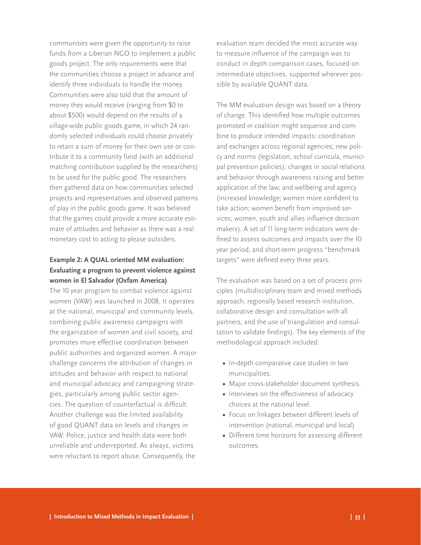communities were given the opportunity to raise funds from a Liberian NGO to implement a public goods project. The only requirements were that the communities choose a project in advance and identify three individuals to handle the money. Communities were also told that the amount of money they would receive (ranging from \$0 to about \$500) would depend on the results of a village-wide public goods game, in which 24 randomly selected individuals could choose privately to retain a sum of money for their own use or contribute it to a community fund (with an additional matching contribution supplied by the researchers) to be used for the public good. The researchers then gathered data on how communities selected projects and representatives and observed patterns of play in the public goods game. It was believed that the games could provide a more accurate estimate of attitudes and behavior as there was a real monetary cost to acting to please outsiders.

## **Example 2: A QUAL oriented MM evaluation: Evaluating a program to prevent violence against women in El Salvador (Oxfam America)**

The 10 year program to combat violence against women (VAW) was launched in 2008. It operates at the national, municipal and community levels, combining public awareness campaigns with the organization of women and civil society, and promotes more effective coordination between public authorities and organized women. A major challenge concerns the attribution of changes in attitudes and behavior with respect to national and municipal advocacy and campaigning strategies, particularly among public sector agencies. The question of counterfactual is difficult. Another challenge was the limited availability of good QUANT data on levels and changes in VAW. Police, justice and health data were both unreliable and underreported. As always, victims were reluctant to report abuse. Consequently, the

evaluation team decided the most accurate way to measure influence of the campaign was to conduct in depth comparison cases, focused on intermediate objectives, supported wherever possible by available QUANT data.

The MM evaluation design was based on a theory of change. This identified how multiple outcomes promoted in coalition might sequence and combine to produce intended impacts: coordination and exchanges across regional agencies; new policy and norms (legislation, school curricula, municipal prevention policies); changes in social relations and behavior through awareness raising and better application of the law; and wellbeing and agency (increased knowledge; women more confident to take action; women benefit from improved services; women, youth and allies influence decision makers). A set of 11 long-term indicators were defined to assess outcomes and impacts over the 10 year period, and short-term progress "benchmark targets" were defined every three years.

The evaluation was based on a set of process principles (multidisciplinary team and mixed methods approach, regionally based research institution, collaborative design and consultation with all partners, and the use of triangulation and consultation to validate findings). The key elements of the methodological approach included:

- **•**  In-depth comparative case studies in two municipalities.
- Major cross-stakeholder document synthesis.
- Interviews on the effectiveness of advocacy choices at the national level.
- Focus on linkages between different levels of intervention (national, municipal and local)
- Different time horizons for assessing different outcomes.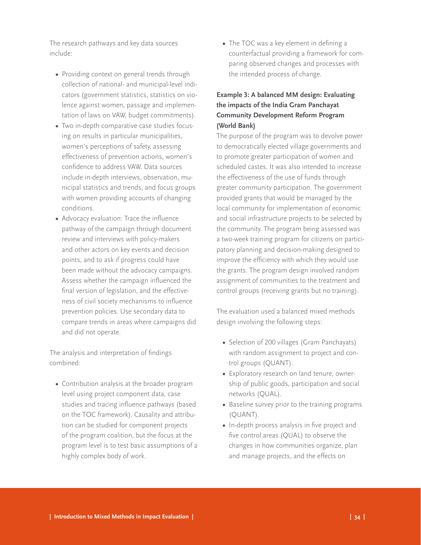The research pathways and key data sources include:

- Providing context on general trends through collection of national- and municipal-level indicators (government statistics, statistics on violence against women, passage and implementation of laws on VAW, budget commitments).
- Two in-depth comparative case studies focusing on results in particular municipalities, women's perceptions of safety, assessing effectiveness of prevention actions, women's confidence to address VAW. Data sources include in-depth interviews, observation, municipal statistics and trends, and focus groups with women providing accounts of changing conditions.
- **•**  Advocacy evaluation: Trace the influence pathway of the campaign through document review and interviews with policy-makers and other actors on key events and decision points, and to ask if progress could have been made without the advocacy campaigns. Assess whether the campaign influenced the final version of legislation, and the effectiveness of civil society mechanisms to influence prevention policies. Use secondary data to compare trends in areas where campaigns did and did not operate.

The analysis and interpretation of findings combined:

**•**  Contribution analysis at the broader program level using project component data, case studies and tracing influence pathways (based on the TOC framework). Causality and attribution can be studied for component projects of the program coalition, but the focus at the program level is to test basic assumptions of a highly complex body of work.

• The TOC was a key element in defining a counterfactual providing a framework for comparing observed changes and processes with the intended process of change.

## **Example 3: A balanced MM design: Evaluating the impacts of the India Gram Panchayat Community Development Reform Program (World Bank)**

The purpose of the program was to devolve power to democratically elected village governments and to promote greater participation of women and scheduled castes. It was also intended to increase the effectiveness of the use of funds through greater community participation. The government provided grants that would be managed by the local community for implementation of economic and social infrastructure projects to be selected by the community. The program being assessed was a two-week training program for citizens on participatory planning and decision-making designed to improve the efficiency with which they would use the grants. The program design involved random assignment of communities to the treatment and control groups (receiving grants but no training).

The evaluation used a balanced mixed methods design involving the following steps:

- **•**  Selection of 200 villages (Gram Panchayats) with random assignment to project and control groups (QUANT).
- **•**  Exploratory research on land tenure, ownership of public goods, participation and social networks (QUAL).
- Baseline survey prior to the training programs (QUANT).
- **•**  In-depth process analysis in five project and five control areas (QUAL) to observe the changes in how communities organize, plan and manage projects, and the effects on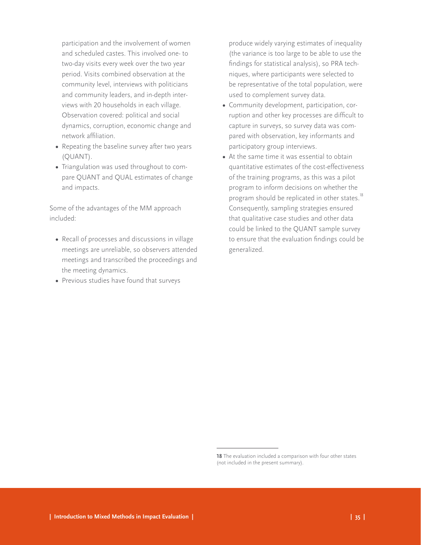participation and the involvement of women and scheduled castes. This involved one- to two-day visits every week over the two year period. Visits combined observation at the community level, interviews with politicians and community leaders, and in-depth interviews with 20 households in each village. Observation covered: political and social dynamics, corruption, economic change and network affiliation.

- Repeating the baseline survey after two years (QUANT).
- **•**  Triangulation was used throughout to compare QUANT and QUAL estimates of change and impacts.

Some of the advantages of the MM approach included:

- Recall of processes and discussions in village meetings are unreliable, so observers attended meetings and transcribed the proceedings and the meeting dynamics.
- **•**  Previous studies have found that surveys

produce widely varying estimates of inequality (the variance is too large to be able to use the findings for statistical analysis), so PRA techniques, where participants were selected to be representative of the total population, were used to complement survey data.

- **•**  Community development, participation, corruption and other key processes are difficult to capture in surveys, so survey data was compared with observation, key informants and participatory group interviews.
- At the same time it was essential to obtain quantitative estimates of the cost-effectiveness of the training programs, as this was a pilot program to inform decisions on whether the program should be replicated in other states.<sup>18</sup> Consequently, sampling strategies ensured that qualitative case studies and other data could be linked to the QUANT sample survey to ensure that the evaluation findings could be generalized.

**<sup>18</sup>** The evaluation included a comparison with four other states (not included in the present summary).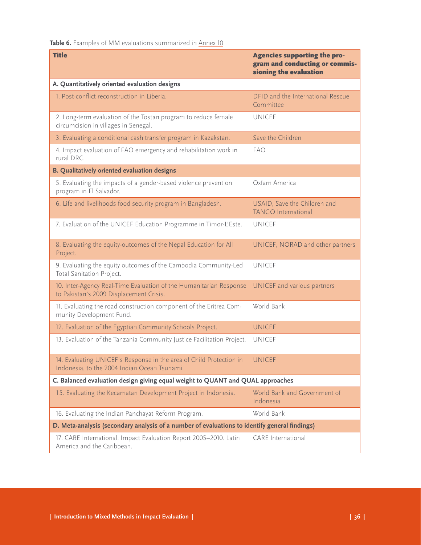<span id="page-39-0"></span>Table 6. Examples of MM evaluations summarized in [Annex 10](http://www.interaction.org/annex-10-case-studies-mm-evaluation-designs-predominant-quant-qual-and-balanced-orientations)

| <b>Title</b>                                                                                                        | <b>Agencies supporting the pro-</b><br>gram and conducting or commis-<br>sioning the evaluation |  |
|---------------------------------------------------------------------------------------------------------------------|-------------------------------------------------------------------------------------------------|--|
| A. Quantitatively oriented evaluation designs                                                                       |                                                                                                 |  |
| 1. Post-conflict reconstruction in Liberia.                                                                         | DFID and the International Rescue<br>Committee                                                  |  |
| 2. Long-term evaluation of the Tostan program to reduce female<br>circumcision in villages in Senegal.              | <b>UNICEF</b>                                                                                   |  |
| 3. Evaluating a conditional cash transfer program in Kazakstan.                                                     | Save the Children                                                                               |  |
| 4. Impact evaluation of FAO emergency and rehabilitation work in<br>rural DRC.                                      | <b>FAO</b>                                                                                      |  |
| <b>B. Qualitatively oriented evaluation designs</b>                                                                 |                                                                                                 |  |
| 5. Evaluating the impacts of a gender-based violence prevention<br>program in El Salvador.                          | Oxfam America                                                                                   |  |
| 6. Life and livelihoods food security program in Bangladesh.                                                        | USAID, Save the Children and<br><b>TANGO International</b>                                      |  |
| 7. Evaluation of the UNICEF Education Programme in Timor-L'Este.                                                    | <b>UNICEF</b>                                                                                   |  |
| 8. Evaluating the equity-outcomes of the Nepal Education for All<br>Project.                                        | UNICEF, NORAD and other partners                                                                |  |
| 9. Evaluating the equity outcomes of the Cambodia Community-Led<br>Total Sanitation Project.                        | <b>UNICEF</b>                                                                                   |  |
| 10. Inter-Agency Real-Time Evaluation of the Humanitarian Response<br>to Pakistan's 2009 Displacement Crisis.       | UNICEF and various partners                                                                     |  |
| 11. Evaluating the road construction component of the Eritrea Com-<br>munity Development Fund.                      | World Bank                                                                                      |  |
| 12. Evaluation of the Egyptian Community Schools Project.                                                           | <b>UNICEF</b>                                                                                   |  |
| 13. Evaluation of the Tanzania Community Justice Facilitation Project.                                              | <b>UNICEF</b>                                                                                   |  |
| 14. Evaluating UNICEF's Response in the area of Child Protection in<br>Indonesia, to the 2004 Indian Ocean Tsunami. | UNICEF                                                                                          |  |
| C. Balanced evaluation design giving equal weight to QUANT and QUAL approaches                                      |                                                                                                 |  |
| 15. Evaluating the Kecamatan Development Project in Indonesia.                                                      | World Bank and Government of<br>Indonesia                                                       |  |
| 16. Evaluating the Indian Panchayat Reform Program.                                                                 | World Bank                                                                                      |  |
| D. Meta-analysis (secondary analysis of a number of evaluations to identify general findings)                       |                                                                                                 |  |
| 17. CARE International. Impact Evaluation Report 2005-2010. Latin<br>America and the Caribbean.                     | <b>CARE</b> International                                                                       |  |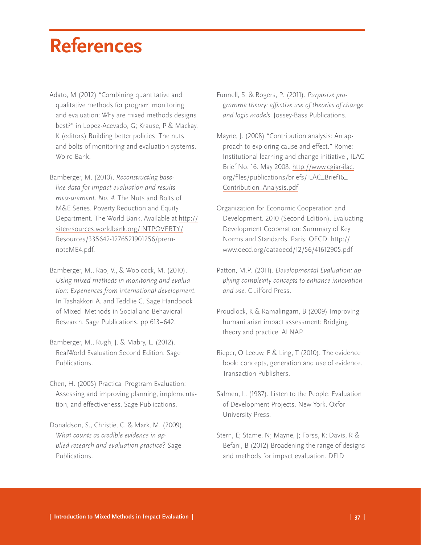## <span id="page-40-0"></span>**References**

- Adato, M (2012) "Combining quantitative and qualitative methods for program monitoring and evaluation: Why are mixed methods designs best?" in Lopez-Acevado, G; Krause, P & Mackay, K (editors) Building better policies: The nuts and bolts of monitoring and evaluation systems. Wolrd Bank.
- Bamberger, M. (2010). *Reconstructing baseline data for impact evaluation and results measurement. No. 4.* The Nuts and Bolts of M&E Series. Poverty Reduction and Equity Department. The World Bank. Available at [http://](http://siteresources.worldbank.org/INTPOVERTY/Resources/335642-1276521901256/premnoteME4.pdf) [siteresources.worldbank.org/INTPOVERTY/](http://siteresources.worldbank.org/INTPOVERTY/Resources/335642-1276521901256/premnoteME4.pdf) [Resources/335642-1276521901256/prem](http://siteresources.worldbank.org/INTPOVERTY/Resources/335642-1276521901256/premnoteME4.pdf)[noteME4.pdf.](http://siteresources.worldbank.org/INTPOVERTY/Resources/335642-1276521901256/premnoteME4.pdf)
- Bamberger, M., Rao, V., & Woolcock, M. (2010). *Using mixed-methods in monitoring and evaluation: Experiences from international development.* In Tashakkori A. and Teddlie C. Sage Handbook of Mixed- Methods in Social and Behavioral Research. Sage Publications. pp 613–642.
- Bamberger, M., Rugh, J. & Mabry, L. (2012). RealWorld Evaluation Second Edition. Sage Publications.
- Chen, H. (2005) Practical Progtram Evaluation: Assessing and improving planning, implementation, and effectiveness. Sage Publications.
- Donaldson, S., Christie, C. & Mark, M. (2009). *What counts as credible evidence in applied research and evaluation practice?* Sage Publications.
- Funnell, S. & Rogers, P. (2011). *Purposive programme theory: effective use of theories of change and logic models*. Jossey-Bass Publications.
- Mayne, J. (2008) "Contribution analysis: An approach to exploring cause and effect." Rome: Institutional learning and change initiative , ILAC Brief No. 16. May 2008. http://www.cgiar-ilac. org/files/publications/briefs/ILAC\_Brief16\_ Contribution\_Analysis.pdf
- Organization for Economic Cooperation and Development. 2010 (Second Edition). Evaluating Development Cooperation: Summary of Key Norms and Standards. Paris: OECD. [http://](http://www.oecd.org/dataoecd/12/56/41612905.pdf) [www.oecd.org/dataoecd/12/56/41612905.pdf](http://www.oecd.org/dataoecd/12/56/41612905.pdf)
- Patton, M.P. (2011). *Developmental Evaluation: applying complexity concepts to enhance innovation and use.* Guilford Press.
- Proudlock, K & Ramalingam, B (2009) Improving humanitarian impact assessment: Bridging theory and practice. ALNAP
- Rieper, O Leeuw, F & Ling, T (2010). The evidence book: concepts, generation and use of evidence. Transaction Publishers.
- Salmen, L. (1987). Listen to the People: Evaluation of Development Projects. New York. Oxfor University Press.
- Stern, E; Stame, N; Mayne, J; Forss, K; Davis, R & Befani, B (2012) Broadening the range of designs and methods for impact evaluation. DFID